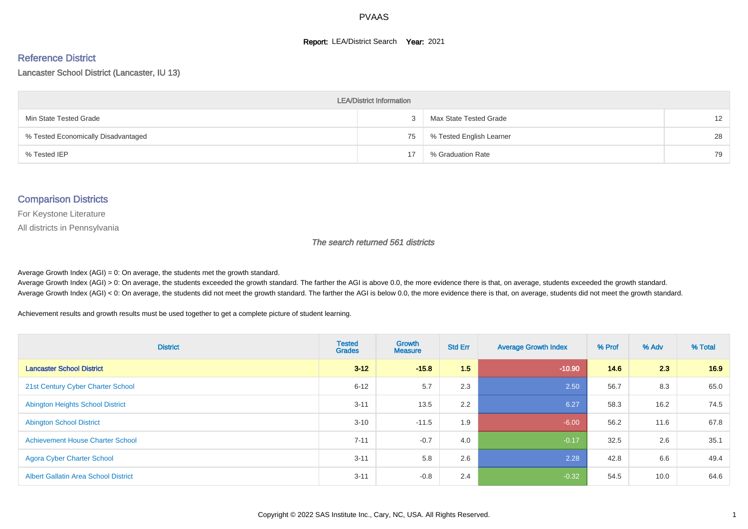#### **Report: LEA/District Search Year: 2021**

# Reference District

Lancaster School District (Lancaster, IU 13)

| <b>LEA/District Information</b>     |    |                          |                   |  |  |  |  |  |  |
|-------------------------------------|----|--------------------------|-------------------|--|--|--|--|--|--|
| Min State Tested Grade              |    | Max State Tested Grade   | $12 \overline{ }$ |  |  |  |  |  |  |
| % Tested Economically Disadvantaged | 75 | % Tested English Learner | 28                |  |  |  |  |  |  |
| % Tested IEP                        | 17 | % Graduation Rate        | 79                |  |  |  |  |  |  |

#### Comparison Districts

For Keystone Literature

All districts in Pennsylvania

The search returned 561 districts

Average Growth Index  $(AGI) = 0$ : On average, the students met the growth standard.

Average Growth Index (AGI) > 0: On average, the students exceeded the growth standard. The farther the AGI is above 0.0, the more evidence there is that, on average, students exceeded the growth standard. Average Growth Index (AGI) < 0: On average, the students did not meet the growth standard. The farther the AGI is below 0.0, the more evidence there is that, on average, students did not meet the growth standard.

Achievement results and growth results must be used together to get a complete picture of student learning.

| <b>District</b>                             | <b>Tested</b><br><b>Grades</b> | <b>Growth</b><br><b>Measure</b> | <b>Std Err</b> | <b>Average Growth Index</b> | % Prof | % Adv | % Total |
|---------------------------------------------|--------------------------------|---------------------------------|----------------|-----------------------------|--------|-------|---------|
| <b>Lancaster School District</b>            | $3 - 12$                       | $-15.8$                         | 1.5            | $-10.90$                    | 14.6   | 2.3   | 16.9    |
| 21st Century Cyber Charter School           | $6 - 12$                       | 5.7                             | 2.3            | 2.50                        | 56.7   | 8.3   | 65.0    |
| <b>Abington Heights School District</b>     | $3 - 11$                       | 13.5                            | 2.2            | 6.27                        | 58.3   | 16.2  | 74.5    |
| <b>Abington School District</b>             | $3 - 10$                       | $-11.5$                         | 1.9            | $-6.00$                     | 56.2   | 11.6  | 67.8    |
| <b>Achievement House Charter School</b>     | $7 - 11$                       | $-0.7$                          | 4.0            | $-0.17$                     | 32.5   | 2.6   | 35.1    |
| <b>Agora Cyber Charter School</b>           | $3 - 11$                       | 5.8                             | 2.6            | 2.28                        | 42.8   | 6.6   | 49.4    |
| <b>Albert Gallatin Area School District</b> | $3 - 11$                       | $-0.8$                          | 2.4            | $-0.32$                     | 54.5   | 10.0  | 64.6    |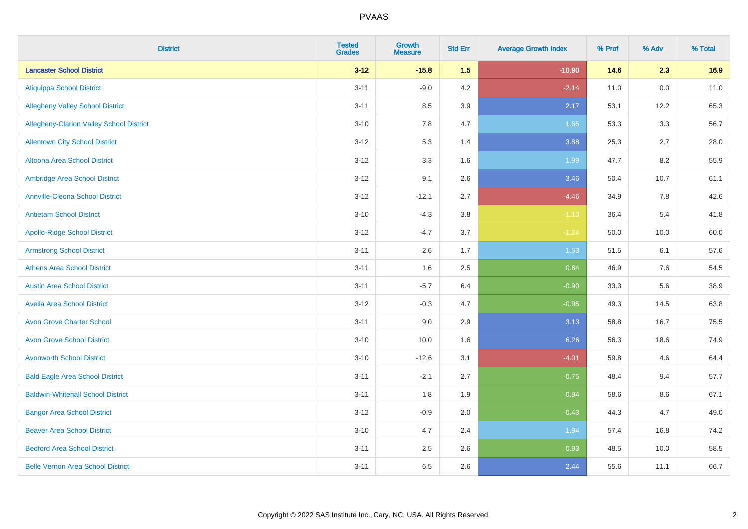| <b>District</b>                          | <b>Tested</b><br><b>Grades</b> | Growth<br><b>Measure</b> | <b>Std Err</b> | <b>Average Growth Index</b> | % Prof | % Adv | % Total |
|------------------------------------------|--------------------------------|--------------------------|----------------|-----------------------------|--------|-------|---------|
| <b>Lancaster School District</b>         | $3 - 12$                       | $-15.8$                  | 1.5            | $-10.90$                    | 14.6   | 2.3   | 16.9    |
| <b>Aliquippa School District</b>         | $3 - 11$                       | $-9.0$                   | 4.2            | $-2.14$                     | 11.0   | 0.0   | 11.0    |
| <b>Allegheny Valley School District</b>  | $3 - 11$                       | 8.5                      | 3.9            | 2.17                        | 53.1   | 12.2  | 65.3    |
| Allegheny-Clarion Valley School District | $3 - 10$                       | 7.8                      | 4.7            | 1.65                        | 53.3   | 3.3   | 56.7    |
| <b>Allentown City School District</b>    | $3 - 12$                       | 5.3                      | 1.4            | 3.88                        | 25.3   | 2.7   | 28.0    |
| <b>Altoona Area School District</b>      | $3 - 12$                       | 3.3                      | 1.6            | 1.99                        | 47.7   | 8.2   | 55.9    |
| Ambridge Area School District            | $3 - 12$                       | 9.1                      | 2.6            | 3.46                        | 50.4   | 10.7  | 61.1    |
| <b>Annville-Cleona School District</b>   | $3 - 12$                       | $-12.1$                  | 2.7            | $-4.46$                     | 34.9   | 7.8   | 42.6    |
| <b>Antietam School District</b>          | $3 - 10$                       | $-4.3$                   | 3.8            | $-1.13$                     | 36.4   | 5.4   | 41.8    |
| <b>Apollo-Ridge School District</b>      | $3 - 12$                       | $-4.7$                   | 3.7            | $-1.24$                     | 50.0   | 10.0  | 60.0    |
| <b>Armstrong School District</b>         | $3 - 11$                       | 2.6                      | 1.7            | 1.53                        | 51.5   | 6.1   | 57.6    |
| <b>Athens Area School District</b>       | $3 - 11$                       | 1.6                      | 2.5            | 0.64                        | 46.9   | 7.6   | 54.5    |
| <b>Austin Area School District</b>       | $3 - 11$                       | $-5.7$                   | 6.4            | $-0.90$                     | 33.3   | 5.6   | 38.9    |
| <b>Avella Area School District</b>       | $3 - 12$                       | $-0.3$                   | 4.7            | $-0.05$                     | 49.3   | 14.5  | 63.8    |
| <b>Avon Grove Charter School</b>         | $3 - 11$                       | 9.0                      | 2.9            | 3.13                        | 58.8   | 16.7  | 75.5    |
| <b>Avon Grove School District</b>        | $3 - 10$                       | 10.0                     | 1.6            | 6.26                        | 56.3   | 18.6  | 74.9    |
| <b>Avonworth School District</b>         | $3 - 10$                       | $-12.6$                  | 3.1            | $-4.01$                     | 59.8   | 4.6   | 64.4    |
| <b>Bald Eagle Area School District</b>   | $3 - 11$                       | $-2.1$                   | 2.7            | $-0.75$                     | 48.4   | 9.4   | 57.7    |
| <b>Baldwin-Whitehall School District</b> | $3 - 11$                       | 1.8                      | 1.9            | 0.94                        | 58.6   | 8.6   | 67.1    |
| <b>Bangor Area School District</b>       | $3 - 12$                       | $-0.9$                   | 2.0            | $-0.43$                     | 44.3   | 4.7   | 49.0    |
| <b>Beaver Area School District</b>       | $3 - 10$                       | 4.7                      | 2.4            | 1.94                        | 57.4   | 16.8  | 74.2    |
| <b>Bedford Area School District</b>      | $3 - 11$                       | 2.5                      | 2.6            | 0.93                        | 48.5   | 10.0  | 58.5    |
| <b>Belle Vernon Area School District</b> | $3 - 11$                       | 6.5                      | 2.6            | 2.44                        | 55.6   | 11.1  | 66.7    |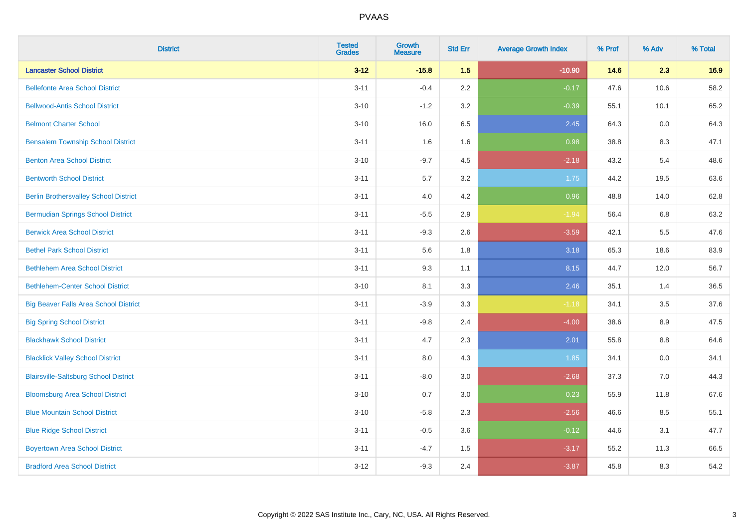| <b>District</b>                              | <b>Tested</b><br><b>Grades</b> | <b>Growth</b><br><b>Measure</b> | <b>Std Err</b> | <b>Average Growth Index</b> | % Prof | % Adv   | % Total |
|----------------------------------------------|--------------------------------|---------------------------------|----------------|-----------------------------|--------|---------|---------|
| <b>Lancaster School District</b>             | $3 - 12$                       | $-15.8$                         | 1.5            | $-10.90$                    | 14.6   | 2.3     | 16.9    |
| <b>Bellefonte Area School District</b>       | $3 - 11$                       | $-0.4$                          | 2.2            | $-0.17$                     | 47.6   | 10.6    | 58.2    |
| <b>Bellwood-Antis School District</b>        | $3 - 10$                       | $-1.2$                          | 3.2            | $-0.39$                     | 55.1   | 10.1    | 65.2    |
| <b>Belmont Charter School</b>                | $3 - 10$                       | 16.0                            | 6.5            | 2.45                        | 64.3   | 0.0     | 64.3    |
| <b>Bensalem Township School District</b>     | $3 - 11$                       | 1.6                             | 1.6            | 0.98                        | 38.8   | 8.3     | 47.1    |
| <b>Benton Area School District</b>           | $3 - 10$                       | $-9.7$                          | 4.5            | $-2.18$                     | 43.2   | 5.4     | 48.6    |
| <b>Bentworth School District</b>             | $3 - 11$                       | 5.7                             | 3.2            | 1.75                        | 44.2   | 19.5    | 63.6    |
| <b>Berlin Brothersvalley School District</b> | $3 - 11$                       | 4.0                             | 4.2            | 0.96                        | 48.8   | 14.0    | 62.8    |
| <b>Bermudian Springs School District</b>     | $3 - 11$                       | $-5.5$                          | 2.9            | $-1.94$                     | 56.4   | 6.8     | 63.2    |
| <b>Berwick Area School District</b>          | $3 - 11$                       | $-9.3$                          | 2.6            | $-3.59$                     | 42.1   | 5.5     | 47.6    |
| <b>Bethel Park School District</b>           | $3 - 11$                       | 5.6                             | 1.8            | 3.18                        | 65.3   | 18.6    | 83.9    |
| <b>Bethlehem Area School District</b>        | $3 - 11$                       | 9.3                             | 1.1            | 8.15                        | 44.7   | 12.0    | 56.7    |
| <b>Bethlehem-Center School District</b>      | $3 - 10$                       | 8.1                             | 3.3            | 2.46                        | 35.1   | 1.4     | 36.5    |
| <b>Big Beaver Falls Area School District</b> | $3 - 11$                       | $-3.9$                          | 3.3            | $-1.18$                     | 34.1   | 3.5     | 37.6    |
| <b>Big Spring School District</b>            | $3 - 11$                       | $-9.8$                          | 2.4            | $-4.00$                     | 38.6   | 8.9     | 47.5    |
| <b>Blackhawk School District</b>             | $3 - 11$                       | 4.7                             | 2.3            | 2.01                        | 55.8   | $8.8\,$ | 64.6    |
| <b>Blacklick Valley School District</b>      | $3 - 11$                       | 8.0                             | 4.3            | 1.85                        | 34.1   | 0.0     | 34.1    |
| <b>Blairsville-Saltsburg School District</b> | $3 - 11$                       | $-8.0$                          | 3.0            | $-2.68$                     | 37.3   | 7.0     | 44.3    |
| <b>Bloomsburg Area School District</b>       | $3 - 10$                       | 0.7                             | 3.0            | 0.23                        | 55.9   | 11.8    | 67.6    |
| <b>Blue Mountain School District</b>         | $3 - 10$                       | $-5.8$                          | 2.3            | $-2.56$                     | 46.6   | 8.5     | 55.1    |
| <b>Blue Ridge School District</b>            | $3 - 11$                       | $-0.5$                          | 3.6            | $-0.12$                     | 44.6   | 3.1     | 47.7    |
| <b>Boyertown Area School District</b>        | $3 - 11$                       | $-4.7$                          | 1.5            | $-3.17$                     | 55.2   | 11.3    | 66.5    |
| <b>Bradford Area School District</b>         | $3 - 12$                       | $-9.3$                          | 2.4            | $-3.87$                     | 45.8   | 8.3     | 54.2    |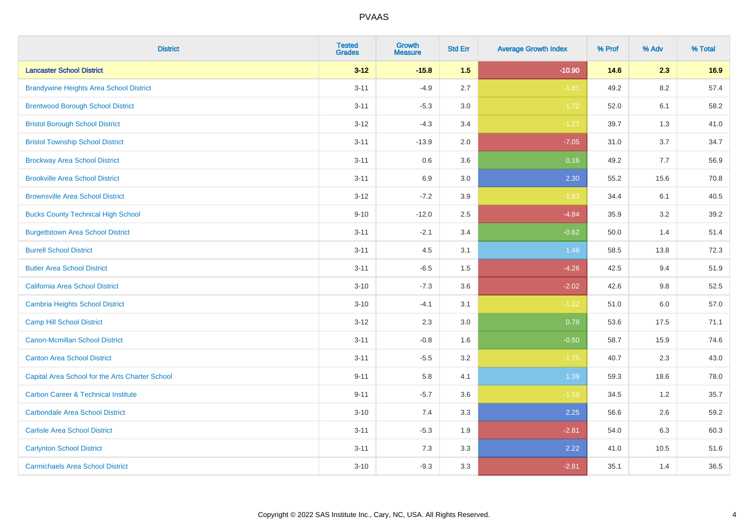| <b>District</b>                                 | <b>Tested</b><br><b>Grades</b> | <b>Growth</b><br><b>Measure</b> | <b>Std Err</b> | <b>Average Growth Index</b> | % Prof | % Adv   | % Total |
|-------------------------------------------------|--------------------------------|---------------------------------|----------------|-----------------------------|--------|---------|---------|
| <b>Lancaster School District</b>                | $3 - 12$                       | $-15.8$                         | 1.5            | $-10.90$                    | 14.6   | 2.3     | 16.9    |
| <b>Brandywine Heights Area School District</b>  | $3 - 11$                       | $-4.9$                          | 2.7            | $-1.81$                     | 49.2   | 8.2     | 57.4    |
| <b>Brentwood Borough School District</b>        | $3 - 11$                       | $-5.3$                          | 3.0            | $-1.72$                     | 52.0   | 6.1     | 58.2    |
| <b>Bristol Borough School District</b>          | $3 - 12$                       | $-4.3$                          | 3.4            | $-1.27$                     | 39.7   | 1.3     | 41.0    |
| <b>Bristol Township School District</b>         | $3 - 11$                       | $-13.9$                         | 2.0            | $-7.05$                     | 31.0   | 3.7     | 34.7    |
| <b>Brockway Area School District</b>            | $3 - 11$                       | 0.6                             | 3.6            | 0.16                        | 49.2   | 7.7     | 56.9    |
| <b>Brookville Area School District</b>          | $3 - 11$                       | 6.9                             | 3.0            | 2.30                        | 55.2   | 15.6    | 70.8    |
| <b>Brownsville Area School District</b>         | $3 - 12$                       | $-7.2$                          | 3.9            | $-1.83$                     | 34.4   | 6.1     | 40.5    |
| <b>Bucks County Technical High School</b>       | $9 - 10$                       | $-12.0$                         | 2.5            | $-4.84$                     | 35.9   | 3.2     | 39.2    |
| <b>Burgettstown Area School District</b>        | $3 - 11$                       | $-2.1$                          | 3.4            | $-0.62$                     | 50.0   | 1.4     | 51.4    |
| <b>Burrell School District</b>                  | $3 - 11$                       | 4.5                             | 3.1            | 1.48                        | 58.5   | 13.8    | 72.3    |
| <b>Butler Area School District</b>              | $3 - 11$                       | $-6.5$                          | 1.5            | $-4.26$                     | 42.5   | 9.4     | 51.9    |
| California Area School District                 | $3 - 10$                       | $-7.3$                          | 3.6            | $-2.02$                     | 42.6   | 9.8     | 52.5    |
| <b>Cambria Heights School District</b>          | $3 - 10$                       | $-4.1$                          | 3.1            | $-1.32$                     | 51.0   | $6.0\,$ | 57.0    |
| <b>Camp Hill School District</b>                | $3 - 12$                       | 2.3                             | 3.0            | 0.78                        | 53.6   | 17.5    | 71.1    |
| Canon-Mcmillan School District                  | $3 - 11$                       | $-0.8$                          | 1.6            | $-0.50$                     | 58.7   | 15.9    | 74.6    |
| <b>Canton Area School District</b>              | $3 - 11$                       | $-5.5$                          | 3.2            | $-1.75$                     | 40.7   | 2.3     | 43.0    |
| Capital Area School for the Arts Charter School | $9 - 11$                       | 5.8                             | 4.1            | 1.39                        | 59.3   | 18.6    | 78.0    |
| <b>Carbon Career &amp; Technical Institute</b>  | $9 - 11$                       | $-5.7$                          | 3.6            | $-1.59$                     | 34.5   | 1.2     | 35.7    |
| <b>Carbondale Area School District</b>          | $3 - 10$                       | 7.4                             | 3.3            | 2.25                        | 56.6   | 2.6     | 59.2    |
| <b>Carlisle Area School District</b>            | $3 - 11$                       | $-5.3$                          | 1.9            | $-2.81$                     | 54.0   | 6.3     | 60.3    |
| <b>Carlynton School District</b>                | $3 - 11$                       | 7.3                             | 3.3            | 2.22                        | 41.0   | 10.5    | 51.6    |
| <b>Carmichaels Area School District</b>         | $3 - 10$                       | $-9.3$                          | 3.3            | $-2.81$                     | 35.1   | 1.4     | 36.5    |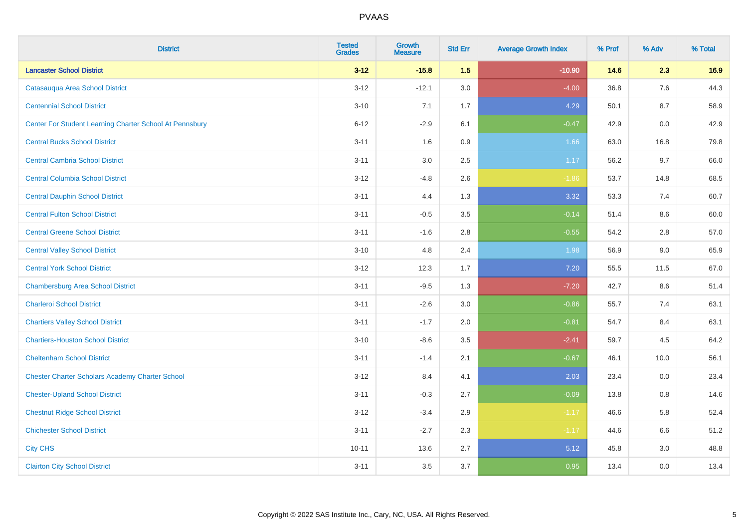| <b>District</b>                                         | <b>Tested</b><br><b>Grades</b> | <b>Growth</b><br><b>Measure</b> | <b>Std Err</b> | <b>Average Growth Index</b> | % Prof | % Adv   | % Total |
|---------------------------------------------------------|--------------------------------|---------------------------------|----------------|-----------------------------|--------|---------|---------|
| <b>Lancaster School District</b>                        | $3 - 12$                       | $-15.8$                         | 1.5            | $-10.90$                    | 14.6   | 2.3     | 16.9    |
| Catasauqua Area School District                         | $3 - 12$                       | $-12.1$                         | 3.0            | $-4.00$                     | 36.8   | 7.6     | 44.3    |
| <b>Centennial School District</b>                       | $3 - 10$                       | 7.1                             | 1.7            | 4.29                        | 50.1   | 8.7     | 58.9    |
| Center For Student Learning Charter School At Pennsbury | $6 - 12$                       | $-2.9$                          | 6.1            | $-0.47$                     | 42.9   | 0.0     | 42.9    |
| <b>Central Bucks School District</b>                    | $3 - 11$                       | 1.6                             | 0.9            | 1.66                        | 63.0   | 16.8    | 79.8    |
| <b>Central Cambria School District</b>                  | $3 - 11$                       | 3.0                             | 2.5            | 1.17                        | 56.2   | 9.7     | 66.0    |
| <b>Central Columbia School District</b>                 | $3 - 12$                       | $-4.8$                          | 2.6            | $-1.86$                     | 53.7   | 14.8    | 68.5    |
| <b>Central Dauphin School District</b>                  | $3 - 11$                       | 4.4                             | 1.3            | 3.32                        | 53.3   | 7.4     | 60.7    |
| <b>Central Fulton School District</b>                   | $3 - 11$                       | $-0.5$                          | 3.5            | $-0.14$                     | 51.4   | 8.6     | 60.0    |
| <b>Central Greene School District</b>                   | $3 - 11$                       | $-1.6$                          | 2.8            | $-0.55$                     | 54.2   | $2.8\,$ | 57.0    |
| <b>Central Valley School District</b>                   | $3 - 10$                       | 4.8                             | 2.4            | 1.98                        | 56.9   | 9.0     | 65.9    |
| <b>Central York School District</b>                     | $3 - 12$                       | 12.3                            | 1.7            | 7.20                        | 55.5   | 11.5    | 67.0    |
| <b>Chambersburg Area School District</b>                | $3 - 11$                       | $-9.5$                          | 1.3            | $-7.20$                     | 42.7   | 8.6     | 51.4    |
| <b>Charleroi School District</b>                        | $3 - 11$                       | $-2.6$                          | 3.0            | $-0.86$                     | 55.7   | 7.4     | 63.1    |
| <b>Chartiers Valley School District</b>                 | $3 - 11$                       | $-1.7$                          | 2.0            | $-0.81$                     | 54.7   | 8.4     | 63.1    |
| <b>Chartiers-Houston School District</b>                | $3 - 10$                       | $-8.6$                          | 3.5            | $-2.41$                     | 59.7   | 4.5     | 64.2    |
| <b>Cheltenham School District</b>                       | $3 - 11$                       | $-1.4$                          | 2.1            | $-0.67$                     | 46.1   | 10.0    | 56.1    |
| <b>Chester Charter Scholars Academy Charter School</b>  | $3 - 12$                       | 8.4                             | 4.1            | 2.03                        | 23.4   | 0.0     | 23.4    |
| <b>Chester-Upland School District</b>                   | $3 - 11$                       | $-0.3$                          | 2.7            | $-0.09$                     | 13.8   | 0.8     | 14.6    |
| <b>Chestnut Ridge School District</b>                   | $3 - 12$                       | $-3.4$                          | 2.9            | $-1.17$                     | 46.6   | 5.8     | 52.4    |
| <b>Chichester School District</b>                       | $3 - 11$                       | $-2.7$                          | 2.3            | $-1.17$                     | 44.6   | 6.6     | 51.2    |
| <b>City CHS</b>                                         | $10 - 11$                      | 13.6                            | 2.7            | 5.12                        | 45.8   | 3.0     | 48.8    |
| <b>Clairton City School District</b>                    | $3 - 11$                       | 3.5                             | 3.7            | 0.95                        | 13.4   | 0.0     | 13.4    |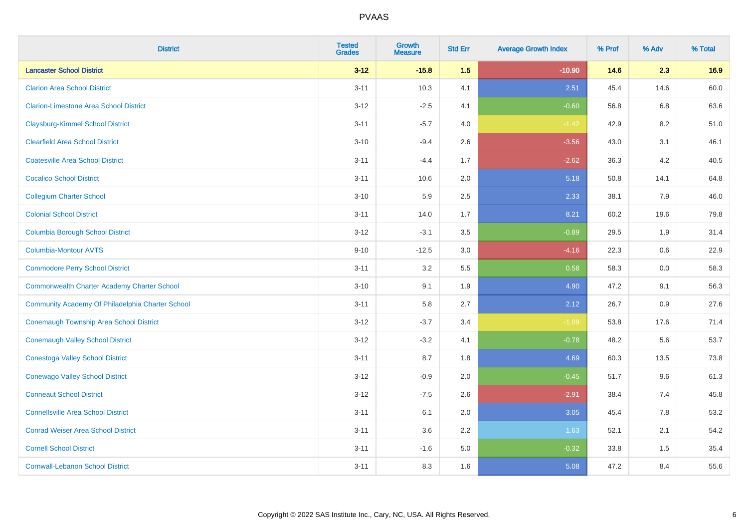| <b>District</b>                                  | <b>Tested</b><br><b>Grades</b> | Growth<br><b>Measure</b> | <b>Std Err</b> | <b>Average Growth Index</b> | % Prof | % Adv   | % Total |
|--------------------------------------------------|--------------------------------|--------------------------|----------------|-----------------------------|--------|---------|---------|
| <b>Lancaster School District</b>                 | $3 - 12$                       | $-15.8$                  | 1.5            | $-10.90$                    | 14.6   | 2.3     | 16.9    |
| <b>Clarion Area School District</b>              | $3 - 11$                       | 10.3                     | 4.1            | 2.51                        | 45.4   | 14.6    | 60.0    |
| <b>Clarion-Limestone Area School District</b>    | $3 - 12$                       | $-2.5$                   | 4.1            | $-0.60$                     | 56.8   | 6.8     | 63.6    |
| <b>Claysburg-Kimmel School District</b>          | $3 - 11$                       | $-5.7$                   | 4.0            | $-1.42$                     | 42.9   | $8.2\,$ | 51.0    |
| <b>Clearfield Area School District</b>           | $3 - 10$                       | $-9.4$                   | 2.6            | $-3.56$                     | 43.0   | 3.1     | 46.1    |
| <b>Coatesville Area School District</b>          | $3 - 11$                       | $-4.4$                   | 1.7            | $-2.62$                     | 36.3   | 4.2     | 40.5    |
| <b>Cocalico School District</b>                  | $3 - 11$                       | 10.6                     | 2.0            | 5.18                        | 50.8   | 14.1    | 64.8    |
| <b>Collegium Charter School</b>                  | $3 - 10$                       | 5.9                      | 2.5            | 2.33                        | 38.1   | 7.9     | 46.0    |
| <b>Colonial School District</b>                  | $3 - 11$                       | 14.0                     | 1.7            | 8.21                        | 60.2   | 19.6    | 79.8    |
| <b>Columbia Borough School District</b>          | $3 - 12$                       | $-3.1$                   | 3.5            | $-0.89$                     | 29.5   | 1.9     | 31.4    |
| <b>Columbia-Montour AVTS</b>                     | $9 - 10$                       | $-12.5$                  | 3.0            | $-4.16$                     | 22.3   | 0.6     | 22.9    |
| <b>Commodore Perry School District</b>           | $3 - 11$                       | 3.2                      | 5.5            | 0.58                        | 58.3   | 0.0     | 58.3    |
| Commonwealth Charter Academy Charter School      | $3 - 10$                       | 9.1                      | 1.9            | 4.90                        | 47.2   | 9.1     | 56.3    |
| Community Academy Of Philadelphia Charter School | $3 - 11$                       | 5.8                      | 2.7            | 2.12                        | 26.7   | 0.9     | 27.6    |
| <b>Conemaugh Township Area School District</b>   | $3 - 12$                       | $-3.7$                   | 3.4            | $-1.09$                     | 53.8   | 17.6    | 71.4    |
| <b>Conemaugh Valley School District</b>          | $3 - 12$                       | $-3.2$                   | 4.1            | $-0.78$                     | 48.2   | 5.6     | 53.7    |
| <b>Conestoga Valley School District</b>          | $3 - 11$                       | 8.7                      | 1.8            | 4.69                        | 60.3   | 13.5    | 73.8    |
| <b>Conewago Valley School District</b>           | $3 - 12$                       | $-0.9$                   | 2.0            | $-0.45$                     | 51.7   | 9.6     | 61.3    |
| <b>Conneaut School District</b>                  | $3 - 12$                       | $-7.5$                   | 2.6            | $-2.91$                     | 38.4   | 7.4     | 45.8    |
| <b>Connellsville Area School District</b>        | $3 - 11$                       | 6.1                      | 2.0            | 3.05                        | 45.4   | 7.8     | 53.2    |
| <b>Conrad Weiser Area School District</b>        | $3 - 11$                       | 3.6                      | 2.2            | 1.63                        | 52.1   | 2.1     | 54.2    |
| <b>Cornell School District</b>                   | $3 - 11$                       | $-1.6$                   | 5.0            | $-0.32$                     | 33.8   | 1.5     | 35.4    |
| <b>Cornwall-Lebanon School District</b>          | $3 - 11$                       | 8.3                      | 1.6            | 5.08                        | 47.2   | 8.4     | 55.6    |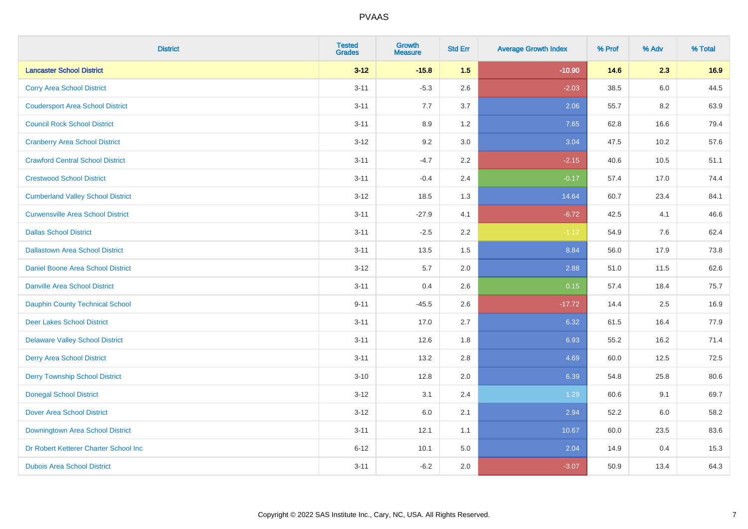| <b>District</b>                          | <b>Tested</b><br><b>Grades</b> | Growth<br><b>Measure</b> | <b>Std Err</b> | <b>Average Growth Index</b> | % Prof | % Adv   | % Total |
|------------------------------------------|--------------------------------|--------------------------|----------------|-----------------------------|--------|---------|---------|
| <b>Lancaster School District</b>         | $3 - 12$                       | $-15.8$                  | 1.5            | $-10.90$                    | 14.6   | 2.3     | 16.9    |
| <b>Corry Area School District</b>        | $3 - 11$                       | $-5.3$                   | 2.6            | $-2.03$                     | 38.5   | 6.0     | 44.5    |
| <b>Coudersport Area School District</b>  | $3 - 11$                       | 7.7                      | 3.7            | 2.06                        | 55.7   | 8.2     | 63.9    |
| <b>Council Rock School District</b>      | $3 - 11$                       | 8.9                      | 1.2            | 7.65                        | 62.8   | 16.6    | 79.4    |
| <b>Cranberry Area School District</b>    | $3 - 12$                       | 9.2                      | 3.0            | 3.04                        | 47.5   | 10.2    | 57.6    |
| <b>Crawford Central School District</b>  | $3 - 11$                       | $-4.7$                   | 2.2            | $-2.15$                     | 40.6   | 10.5    | 51.1    |
| <b>Crestwood School District</b>         | $3 - 11$                       | $-0.4$                   | 2.4            | $-0.17$                     | 57.4   | 17.0    | 74.4    |
| <b>Cumberland Valley School District</b> | $3 - 12$                       | 18.5                     | 1.3            | 14.64                       | 60.7   | 23.4    | 84.1    |
| <b>Curwensville Area School District</b> | $3 - 11$                       | $-27.9$                  | 4.1            | $-6.72$                     | 42.5   | 4.1     | 46.6    |
| <b>Dallas School District</b>            | $3 - 11$                       | $-2.5$                   | 2.2            | $-1.12$                     | 54.9   | $7.6\,$ | 62.4    |
| <b>Dallastown Area School District</b>   | $3 - 11$                       | 13.5                     | 1.5            | 8.84                        | 56.0   | 17.9    | 73.8    |
| Daniel Boone Area School District        | $3 - 12$                       | 5.7                      | 2.0            | 2.88                        | 51.0   | 11.5    | 62.6    |
| <b>Danville Area School District</b>     | $3 - 11$                       | 0.4                      | 2.6            | 0.15                        | 57.4   | 18.4    | 75.7    |
| <b>Dauphin County Technical School</b>   | $9 - 11$                       | $-45.5$                  | 2.6            | $-17.72$                    | 14.4   | 2.5     | 16.9    |
| <b>Deer Lakes School District</b>        | $3 - 11$                       | 17.0                     | 2.7            | 6.32                        | 61.5   | 16.4    | 77.9    |
| <b>Delaware Valley School District</b>   | $3 - 11$                       | 12.6                     | 1.8            | 6.93                        | 55.2   | 16.2    | 71.4    |
| <b>Derry Area School District</b>        | $3 - 11$                       | 13.2                     | 2.8            | 4.69                        | 60.0   | 12.5    | 72.5    |
| <b>Derry Township School District</b>    | $3 - 10$                       | 12.8                     | 2.0            | 6.39                        | 54.8   | 25.8    | 80.6    |
| <b>Donegal School District</b>           | $3 - 12$                       | 3.1                      | 2.4            | 1.29                        | 60.6   | 9.1     | 69.7    |
| <b>Dover Area School District</b>        | $3 - 12$                       | 6.0                      | 2.1            | 2.94                        | 52.2   | 6.0     | 58.2    |
| Downingtown Area School District         | $3 - 11$                       | 12.1                     | 1.1            | 10.67                       | 60.0   | 23.5    | 83.6    |
| Dr Robert Ketterer Charter School Inc    | $6 - 12$                       | 10.1                     | 5.0            | 2.04                        | 14.9   | 0.4     | 15.3    |
| <b>Dubois Area School District</b>       | $3 - 11$                       | $-6.2$                   | 2.0            | $-3.07$                     | 50.9   | 13.4    | 64.3    |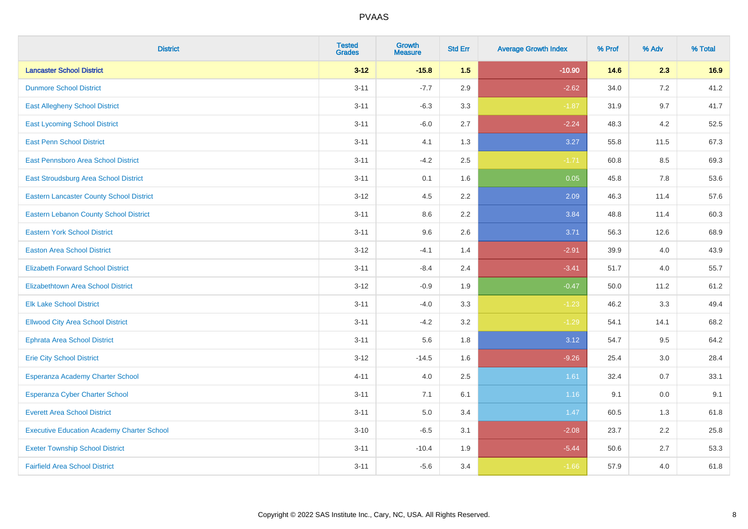| <b>District</b>                                   | <b>Tested</b><br><b>Grades</b> | <b>Growth</b><br><b>Measure</b> | <b>Std Err</b> | <b>Average Growth Index</b> | % Prof | % Adv   | % Total |
|---------------------------------------------------|--------------------------------|---------------------------------|----------------|-----------------------------|--------|---------|---------|
| <b>Lancaster School District</b>                  | $3 - 12$                       | $-15.8$                         | 1.5            | $-10.90$                    | 14.6   | 2.3     | 16.9    |
| <b>Dunmore School District</b>                    | $3 - 11$                       | $-7.7$                          | 2.9            | $-2.62$                     | 34.0   | 7.2     | 41.2    |
| <b>East Allegheny School District</b>             | $3 - 11$                       | $-6.3$                          | 3.3            | $-1.87$                     | 31.9   | 9.7     | 41.7    |
| <b>East Lycoming School District</b>              | $3 - 11$                       | $-6.0$                          | 2.7            | $-2.24$                     | 48.3   | 4.2     | 52.5    |
| <b>East Penn School District</b>                  | $3 - 11$                       | 4.1                             | 1.3            | 3.27                        | 55.8   | 11.5    | 67.3    |
| East Pennsboro Area School District               | $3 - 11$                       | $-4.2$                          | 2.5            | $-1.71$                     | 60.8   | 8.5     | 69.3    |
| East Stroudsburg Area School District             | $3 - 11$                       | 0.1                             | 1.6            | 0.05                        | 45.8   | 7.8     | 53.6    |
| <b>Eastern Lancaster County School District</b>   | $3 - 12$                       | 4.5                             | 2.2            | 2.09                        | 46.3   | 11.4    | 57.6    |
| <b>Eastern Lebanon County School District</b>     | $3 - 11$                       | 8.6                             | 2.2            | 3.84                        | 48.8   | 11.4    | 60.3    |
| <b>Eastern York School District</b>               | $3 - 11$                       | 9.6                             | 2.6            | 3.71                        | 56.3   | 12.6    | 68.9    |
| <b>Easton Area School District</b>                | $3 - 12$                       | $-4.1$                          | 1.4            | $-2.91$                     | 39.9   | 4.0     | 43.9    |
| <b>Elizabeth Forward School District</b>          | $3 - 11$                       | $-8.4$                          | 2.4            | $-3.41$                     | 51.7   | 4.0     | 55.7    |
| Elizabethtown Area School District                | $3 - 12$                       | $-0.9$                          | 1.9            | $-0.47$                     | 50.0   | 11.2    | 61.2    |
| <b>Elk Lake School District</b>                   | $3 - 11$                       | $-4.0$                          | 3.3            | $-1.23$                     | 46.2   | 3.3     | 49.4    |
| <b>Ellwood City Area School District</b>          | $3 - 11$                       | $-4.2$                          | 3.2            | $-1.29$                     | 54.1   | 14.1    | 68.2    |
| <b>Ephrata Area School District</b>               | $3 - 11$                       | 5.6                             | 1.8            | 3.12                        | 54.7   | 9.5     | 64.2    |
| <b>Erie City School District</b>                  | $3 - 12$                       | $-14.5$                         | 1.6            | $-9.26$                     | 25.4   | 3.0     | 28.4    |
| Esperanza Academy Charter School                  | $4 - 11$                       | 4.0                             | 2.5            | 1.61                        | 32.4   | 0.7     | 33.1    |
| <b>Esperanza Cyber Charter School</b>             | $3 - 11$                       | 7.1                             | 6.1            | 1.16                        | 9.1    | $0.0\,$ | 9.1     |
| <b>Everett Area School District</b>               | $3 - 11$                       | 5.0                             | 3.4            | 1.47                        | 60.5   | 1.3     | 61.8    |
| <b>Executive Education Academy Charter School</b> | $3 - 10$                       | $-6.5$                          | 3.1            | $-2.08$                     | 23.7   | 2.2     | 25.8    |
| <b>Exeter Township School District</b>            | $3 - 11$                       | $-10.4$                         | 1.9            | $-5.44$                     | 50.6   | 2.7     | 53.3    |
| <b>Fairfield Area School District</b>             | $3 - 11$                       | $-5.6$                          | 3.4            | $-1.66$                     | 57.9   | 4.0     | 61.8    |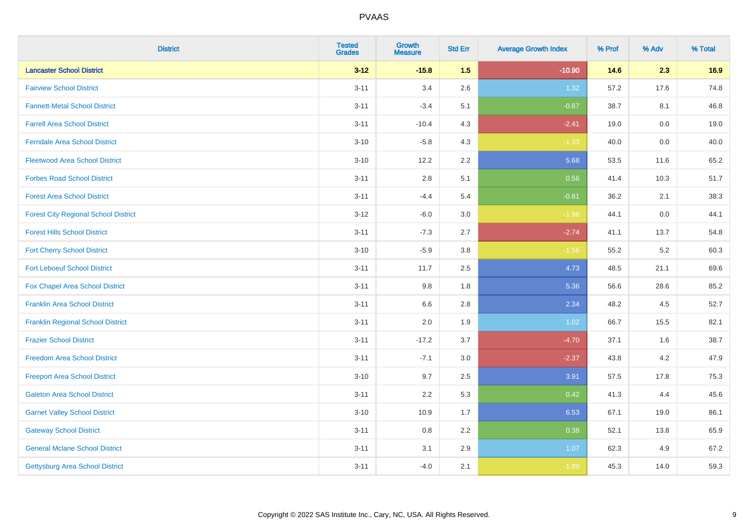| <b>District</b>                             | <b>Tested</b><br><b>Grades</b> | Growth<br><b>Measure</b> | <b>Std Err</b> | <b>Average Growth Index</b> | % Prof | % Adv | % Total |
|---------------------------------------------|--------------------------------|--------------------------|----------------|-----------------------------|--------|-------|---------|
| <b>Lancaster School District</b>            | $3 - 12$                       | $-15.8$                  | 1.5            | $-10.90$                    | 14.6   | 2.3   | 16.9    |
| <b>Fairview School District</b>             | $3 - 11$                       | 3.4                      | 2.6            | 1.32                        | 57.2   | 17.6  | 74.8    |
| <b>Fannett-Metal School District</b>        | $3 - 11$                       | $-3.4$                   | 5.1            | $-0.67$                     | 38.7   | 8.1   | 46.8    |
| <b>Farrell Area School District</b>         | $3 - 11$                       | $-10.4$                  | 4.3            | $-2.41$                     | 19.0   | 0.0   | 19.0    |
| <b>Ferndale Area School District</b>        | $3 - 10$                       | $-5.8$                   | 4.3            | $-1.33$                     | 40.0   | 0.0   | 40.0    |
| <b>Fleetwood Area School District</b>       | $3 - 10$                       | 12.2                     | 2.2            | 5.68                        | 53.5   | 11.6  | 65.2    |
| <b>Forbes Road School District</b>          | $3 - 11$                       | 2.8                      | 5.1            | 0.56                        | 41.4   | 10.3  | 51.7    |
| <b>Forest Area School District</b>          | $3 - 11$                       | $-4.4$                   | 5.4            | $-0.81$                     | 36.2   | 2.1   | 38.3    |
| <b>Forest City Regional School District</b> | $3 - 12$                       | $-6.0$                   | 3.0            | $-1.96$                     | 44.1   | 0.0   | 44.1    |
| <b>Forest Hills School District</b>         | $3 - 11$                       | $-7.3$                   | 2.7            | $-2.74$                     | 41.1   | 13.7  | 54.8    |
| <b>Fort Cherry School District</b>          | $3 - 10$                       | $-5.9$                   | 3.8            | $-1.56$                     | 55.2   | 5.2   | 60.3    |
| <b>Fort Leboeuf School District</b>         | $3 - 11$                       | 11.7                     | 2.5            | 4.73                        | 48.5   | 21.1  | 69.6    |
| Fox Chapel Area School District             | $3 - 11$                       | 9.8                      | 1.8            | 5.36                        | 56.6   | 28.6  | 85.2    |
| <b>Franklin Area School District</b>        | $3 - 11$                       | $6.6\,$                  | 2.8            | 2.34                        | 48.2   | 4.5   | 52.7    |
| <b>Franklin Regional School District</b>    | $3 - 11$                       | 2.0                      | 1.9            | 1.02                        | 66.7   | 15.5  | 82.1    |
| <b>Frazier School District</b>              | $3 - 11$                       | $-17.2$                  | 3.7            | $-4.70$                     | 37.1   | 1.6   | 38.7    |
| <b>Freedom Area School District</b>         | $3 - 11$                       | $-7.1$                   | 3.0            | $-2.37$                     | 43.8   | 4.2   | 47.9    |
| <b>Freeport Area School District</b>        | $3 - 10$                       | 9.7                      | 2.5            | 3.91                        | 57.5   | 17.8  | 75.3    |
| <b>Galeton Area School District</b>         | $3 - 11$                       | 2.2                      | 5.3            | 0.42                        | 41.3   | 4.4   | 45.6    |
| <b>Garnet Valley School District</b>        | $3 - 10$                       | 10.9                     | 1.7            | 6.53                        | 67.1   | 19.0  | 86.1    |
| <b>Gateway School District</b>              | $3 - 11$                       | 0.8                      | 2.2            | 0.38                        | 52.1   | 13.8  | 65.9    |
| <b>General Mclane School District</b>       | $3 - 11$                       | 3.1                      | 2.9            | 1.07                        | 62.3   | 4.9   | 67.2    |
| <b>Gettysburg Area School District</b>      | $3 - 11$                       | $-4.0$                   | 2.1            | $-1.89$                     | 45.3   | 14.0  | 59.3    |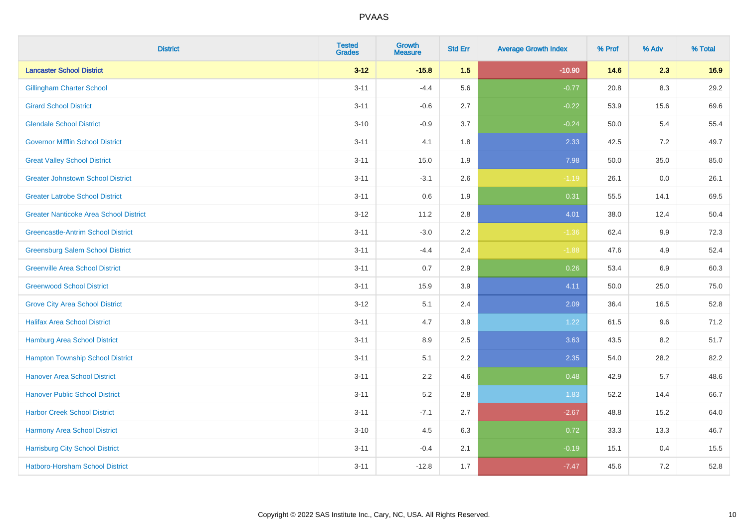| <b>District</b>                               | <b>Tested</b><br><b>Grades</b> | <b>Growth</b><br><b>Measure</b> | <b>Std Err</b> | <b>Average Growth Index</b> | % Prof | % Adv | % Total |
|-----------------------------------------------|--------------------------------|---------------------------------|----------------|-----------------------------|--------|-------|---------|
| <b>Lancaster School District</b>              | $3 - 12$                       | $-15.8$                         | 1.5            | $-10.90$                    | 14.6   | 2.3   | 16.9    |
| <b>Gillingham Charter School</b>              | $3 - 11$                       | $-4.4$                          | 5.6            | $-0.77$                     | 20.8   | 8.3   | 29.2    |
| <b>Girard School District</b>                 | $3 - 11$                       | $-0.6$                          | 2.7            | $-0.22$                     | 53.9   | 15.6  | 69.6    |
| <b>Glendale School District</b>               | $3 - 10$                       | $-0.9$                          | 3.7            | $-0.24$                     | 50.0   | 5.4   | 55.4    |
| <b>Governor Mifflin School District</b>       | $3 - 11$                       | 4.1                             | 1.8            | 2.33                        | 42.5   | 7.2   | 49.7    |
| <b>Great Valley School District</b>           | $3 - 11$                       | 15.0                            | 1.9            | 7.98                        | 50.0   | 35.0  | 85.0    |
| <b>Greater Johnstown School District</b>      | $3 - 11$                       | $-3.1$                          | 2.6            | $-1.19$                     | 26.1   | 0.0   | 26.1    |
| <b>Greater Latrobe School District</b>        | $3 - 11$                       | 0.6                             | 1.9            | 0.31                        | 55.5   | 14.1  | 69.5    |
| <b>Greater Nanticoke Area School District</b> | $3 - 12$                       | 11.2                            | 2.8            | 4.01                        | 38.0   | 12.4  | 50.4    |
| <b>Greencastle-Antrim School District</b>     | $3 - 11$                       | $-3.0$                          | 2.2            | $-1.36$                     | 62.4   | 9.9   | 72.3    |
| <b>Greensburg Salem School District</b>       | $3 - 11$                       | $-4.4$                          | 2.4            | $-1.88$                     | 47.6   | 4.9   | 52.4    |
| <b>Greenville Area School District</b>        | $3 - 11$                       | 0.7                             | 2.9            | 0.26                        | 53.4   | 6.9   | 60.3    |
| <b>Greenwood School District</b>              | $3 - 11$                       | 15.9                            | 3.9            | 4.11                        | 50.0   | 25.0  | 75.0    |
| <b>Grove City Area School District</b>        | $3-12$                         | 5.1                             | 2.4            | 2.09                        | 36.4   | 16.5  | 52.8    |
| <b>Halifax Area School District</b>           | $3 - 11$                       | 4.7                             | 3.9            | 1.22                        | 61.5   | 9.6   | 71.2    |
| <b>Hamburg Area School District</b>           | $3 - 11$                       | 8.9                             | 2.5            | 3.63                        | 43.5   | 8.2   | 51.7    |
| <b>Hampton Township School District</b>       | $3 - 11$                       | 5.1                             | 2.2            | 2.35                        | 54.0   | 28.2  | 82.2    |
| <b>Hanover Area School District</b>           | $3 - 11$                       | 2.2                             | 4.6            | 0.48                        | 42.9   | 5.7   | 48.6    |
| <b>Hanover Public School District</b>         | $3 - 11$                       | 5.2                             | 2.8            | 1.83                        | 52.2   | 14.4  | 66.7    |
| <b>Harbor Creek School District</b>           | $3 - 11$                       | $-7.1$                          | 2.7            | $-2.67$                     | 48.8   | 15.2  | 64.0    |
| Harmony Area School District                  | $3 - 10$                       | 4.5                             | 6.3            | 0.72                        | 33.3   | 13.3  | 46.7    |
| <b>Harrisburg City School District</b>        | $3 - 11$                       | $-0.4$                          | 2.1            | $-0.19$                     | 15.1   | 0.4   | 15.5    |
| <b>Hatboro-Horsham School District</b>        | $3 - 11$                       | $-12.8$                         | 1.7            | $-7.47$                     | 45.6   | 7.2   | 52.8    |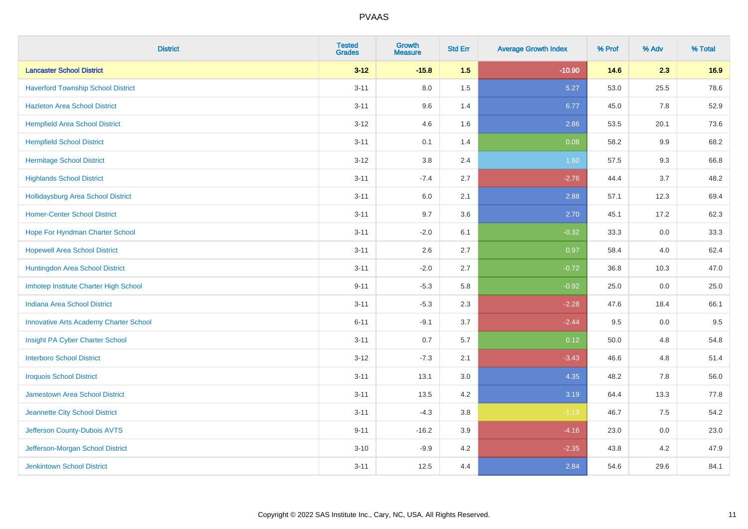| <b>District</b>                               | <b>Tested</b><br><b>Grades</b> | <b>Growth</b><br><b>Measure</b> | <b>Std Err</b> | <b>Average Growth Index</b> | % Prof | % Adv | % Total |
|-----------------------------------------------|--------------------------------|---------------------------------|----------------|-----------------------------|--------|-------|---------|
| <b>Lancaster School District</b>              | $3 - 12$                       | $-15.8$                         | 1.5            | $-10.90$                    | 14.6   | 2.3   | 16.9    |
| <b>Haverford Township School District</b>     | $3 - 11$                       | 8.0                             | 1.5            | 5.27                        | 53.0   | 25.5  | 78.6    |
| <b>Hazleton Area School District</b>          | $3 - 11$                       | 9.6                             | 1.4            | 6.77                        | 45.0   | 7.8   | 52.9    |
| <b>Hempfield Area School District</b>         | $3 - 12$                       | 4.6                             | 1.6            | 2.86                        | 53.5   | 20.1  | 73.6    |
| <b>Hempfield School District</b>              | $3 - 11$                       | 0.1                             | 1.4            | 0.08                        | 58.2   | 9.9   | 68.2    |
| <b>Hermitage School District</b>              | $3 - 12$                       | $3.8\,$                         | 2.4            | 1.60                        | 57.5   | 9.3   | 66.8    |
| <b>Highlands School District</b>              | $3 - 11$                       | $-7.4$                          | 2.7            | $-2.76$                     | 44.4   | 3.7   | 48.2    |
| <b>Hollidaysburg Area School District</b>     | $3 - 11$                       | $6.0\,$                         | 2.1            | 2.88                        | 57.1   | 12.3  | 69.4    |
| <b>Homer-Center School District</b>           | $3 - 11$                       | 9.7                             | 3.6            | 2.70                        | 45.1   | 17.2  | 62.3    |
| Hope For Hyndman Charter School               | $3 - 11$                       | $-2.0$                          | 6.1            | $-0.32$                     | 33.3   | 0.0   | 33.3    |
| <b>Hopewell Area School District</b>          | $3 - 11$                       | 2.6                             | 2.7            | 0.97                        | 58.4   | 4.0   | 62.4    |
| Huntingdon Area School District               | $3 - 11$                       | $-2.0$                          | 2.7            | $-0.72$                     | 36.8   | 10.3  | 47.0    |
| Imhotep Institute Charter High School         | $9 - 11$                       | $-5.3$                          | 5.8            | $-0.92$                     | 25.0   | 0.0   | 25.0    |
| <b>Indiana Area School District</b>           | $3 - 11$                       | $-5.3$                          | 2.3            | $-2.28$                     | 47.6   | 18.4  | 66.1    |
| <b>Innovative Arts Academy Charter School</b> | $6 - 11$                       | $-9.1$                          | 3.7            | $-2.44$                     | 9.5    | 0.0   | 9.5     |
| Insight PA Cyber Charter School               | $3 - 11$                       | 0.7                             | 5.7            | 0.12                        | 50.0   | 4.8   | 54.8    |
| <b>Interboro School District</b>              | $3 - 12$                       | $-7.3$                          | 2.1            | $-3.43$                     | 46.6   | 4.8   | 51.4    |
| <b>Iroquois School District</b>               | $3 - 11$                       | 13.1                            | 3.0            | 4.35                        | 48.2   | 7.8   | 56.0    |
| <b>Jamestown Area School District</b>         | $3 - 11$                       | 13.5                            | 4.2            | 3.19                        | 64.4   | 13.3  | 77.8    |
| Jeannette City School District                | $3 - 11$                       | $-4.3$                          | 3.8            | $-1.13$                     | 46.7   | 7.5   | 54.2    |
| Jefferson County-Dubois AVTS                  | $9 - 11$                       | $-16.2$                         | 3.9            | $-4.16$                     | 23.0   | 0.0   | 23.0    |
| Jefferson-Morgan School District              | $3 - 10$                       | $-9.9$                          | 4.2            | $-2.35$                     | 43.8   | 4.2   | 47.9    |
| <b>Jenkintown School District</b>             | $3 - 11$                       | 12.5                            | 4.4            | 2.84                        | 54.6   | 29.6  | 84.1    |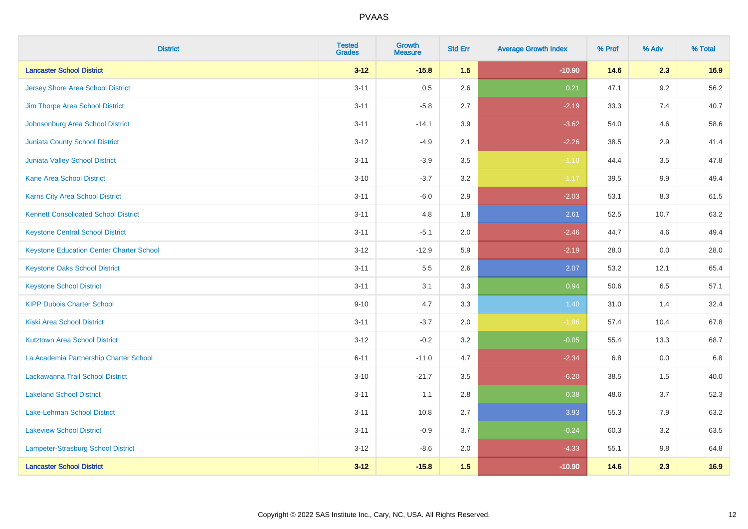| <b>District</b>                                 | <b>Tested</b><br><b>Grades</b> | <b>Growth</b><br><b>Measure</b> | <b>Std Err</b> | <b>Average Growth Index</b> | % Prof | % Adv   | % Total |
|-------------------------------------------------|--------------------------------|---------------------------------|----------------|-----------------------------|--------|---------|---------|
| <b>Lancaster School District</b>                | $3 - 12$                       | $-15.8$                         | 1.5            | $-10.90$                    | 14.6   | 2.3     | 16.9    |
| <b>Jersey Shore Area School District</b>        | $3 - 11$                       | 0.5                             | 2.6            | 0.21                        | 47.1   | 9.2     | 56.2    |
| Jim Thorpe Area School District                 | $3 - 11$                       | $-5.8$                          | 2.7            | $-2.19$                     | 33.3   | 7.4     | 40.7    |
| Johnsonburg Area School District                | $3 - 11$                       | $-14.1$                         | 3.9            | $-3.62$                     | 54.0   | 4.6     | 58.6    |
| <b>Juniata County School District</b>           | $3 - 12$                       | $-4.9$                          | 2.1            | $-2.26$                     | 38.5   | 2.9     | 41.4    |
| Juniata Valley School District                  | $3 - 11$                       | $-3.9$                          | 3.5            | $-1.10$                     | 44.4   | 3.5     | 47.8    |
| <b>Kane Area School District</b>                | $3 - 10$                       | $-3.7$                          | 3.2            | $-1.17$                     | 39.5   | $9.9\,$ | 49.4    |
| Karns City Area School District                 | $3 - 11$                       | $-6.0$                          | 2.9            | $-2.03$                     | 53.1   | 8.3     | 61.5    |
| <b>Kennett Consolidated School District</b>     | $3 - 11$                       | 4.8                             | 1.8            | 2.61                        | 52.5   | 10.7    | 63.2    |
| <b>Keystone Central School District</b>         | $3 - 11$                       | $-5.1$                          | 2.0            | $-2.46$                     | 44.7   | 4.6     | 49.4    |
| <b>Keystone Education Center Charter School</b> | $3 - 12$                       | $-12.9$                         | 5.9            | $-2.19$                     | 28.0   | 0.0     | 28.0    |
| <b>Keystone Oaks School District</b>            | $3 - 11$                       | $5.5\,$                         | 2.6            | 2.07                        | 53.2   | 12.1    | 65.4    |
| <b>Keystone School District</b>                 | $3 - 11$                       | 3.1                             | 3.3            | 0.94                        | 50.6   | 6.5     | 57.1    |
| <b>KIPP Dubois Charter School</b>               | $9 - 10$                       | 4.7                             | 3.3            | 1.40                        | 31.0   | 1.4     | 32.4    |
| <b>Kiski Area School District</b>               | $3 - 11$                       | $-3.7$                          | 2.0            | $-1.86$                     | 57.4   | 10.4    | 67.8    |
| <b>Kutztown Area School District</b>            | $3 - 12$                       | $-0.2$                          | 3.2            | $-0.05$                     | 55.4   | 13.3    | 68.7    |
| La Academia Partnership Charter School          | $6 - 11$                       | $-11.0$                         | 4.7            | $-2.34$                     | 6.8    | 0.0     | 6.8     |
| Lackawanna Trail School District                | $3 - 10$                       | $-21.7$                         | 3.5            | $-6.20$                     | 38.5   | 1.5     | 40.0    |
| <b>Lakeland School District</b>                 | $3 - 11$                       | 1.1                             | 2.8            | 0.38                        | 48.6   | 3.7     | 52.3    |
| Lake-Lehman School District                     | $3 - 11$                       | 10.8                            | 2.7            | 3.93                        | 55.3   | 7.9     | 63.2    |
| <b>Lakeview School District</b>                 | $3 - 11$                       | $-0.9$                          | 3.7            | $-0.24$                     | 60.3   | 3.2     | 63.5    |
| <b>Lampeter-Strasburg School District</b>       | $3 - 12$                       | $-8.6$                          | 2.0            | $-4.33$                     | 55.1   | 9.8     | 64.8    |
| <b>Lancaster School District</b>                | $3 - 12$                       | $-15.8$                         | 1.5            | $-10.90$                    | 14.6   | 2.3     | 16.9    |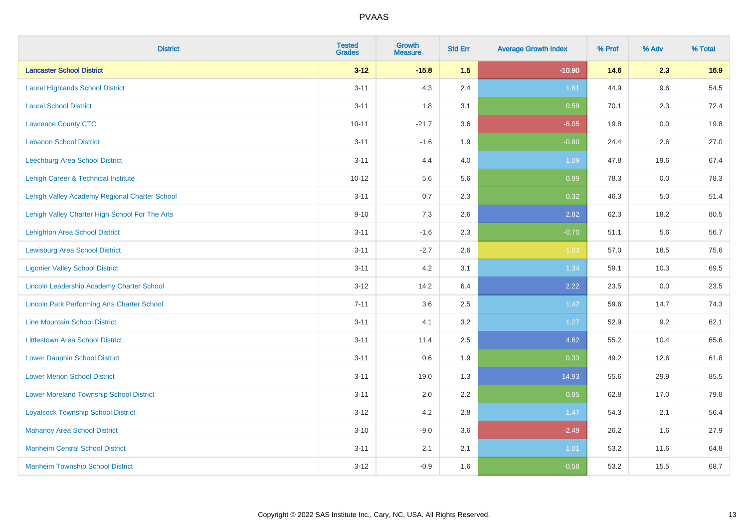| <b>District</b>                                    | <b>Tested</b><br><b>Grades</b> | Growth<br><b>Measure</b> | <b>Std Err</b> | <b>Average Growth Index</b> | % Prof | % Adv   | % Total |
|----------------------------------------------------|--------------------------------|--------------------------|----------------|-----------------------------|--------|---------|---------|
| <b>Lancaster School District</b>                   | $3 - 12$                       | $-15.8$                  | 1.5            | $-10.90$                    | 14.6   | 2.3     | 16.9    |
| <b>Laurel Highlands School District</b>            | $3 - 11$                       | 4.3                      | 2.4            | 1.81                        | 44.9   | 9.6     | 54.5    |
| <b>Laurel School District</b>                      | $3 - 11$                       | 1.8                      | 3.1            | 0.59                        | 70.1   | 2.3     | 72.4    |
| <b>Lawrence County CTC</b>                         | $10 - 11$                      | $-21.7$                  | 3.6            | $-6.05$                     | 19.8   | $0.0\,$ | 19.8    |
| <b>Lebanon School District</b>                     | $3 - 11$                       | $-1.6$                   | 1.9            | $-0.80$                     | 24.4   | 2.6     | 27.0    |
| Leechburg Area School District                     | $3 - 11$                       | 4.4                      | 4.0            | 1.09                        | 47.8   | 19.6    | 67.4    |
| Lehigh Career & Technical Institute                | $10 - 12$                      | 5.6                      | 5.6            | 0.99                        | 78.3   | $0.0\,$ | 78.3    |
| Lehigh Valley Academy Regional Charter School      | $3 - 11$                       | 0.7                      | 2.3            | 0.32                        | 46.3   | 5.0     | 51.4    |
| Lehigh Valley Charter High School For The Arts     | $9 - 10$                       | 7.3                      | 2.6            | 2.82                        | 62.3   | 18.2    | 80.5    |
| Lehighton Area School District                     | $3 - 11$                       | $-1.6$                   | 2.3            | $-0.70$                     | 51.1   | 5.6     | 56.7    |
| <b>Lewisburg Area School District</b>              | $3 - 11$                       | $-2.7$                   | 2.6            | $-1.03$                     | 57.0   | 18.5    | 75.6    |
| <b>Ligonier Valley School District</b>             | $3 - 11$                       | 4.2                      | 3.1            | 1.34                        | 59.1   | 10.3    | 69.5    |
| Lincoln Leadership Academy Charter School          | $3 - 12$                       | 14.2                     | 6.4            | 2.22                        | 23.5   | 0.0     | 23.5    |
| <b>Lincoln Park Performing Arts Charter School</b> | $7 - 11$                       | 3.6                      | 2.5            | 1.42                        | 59.6   | 14.7    | 74.3    |
| <b>Line Mountain School District</b>               | $3 - 11$                       | 4.1                      | 3.2            | 1.27                        | 52.9   | 9.2     | 62.1    |
| <b>Littlestown Area School District</b>            | $3 - 11$                       | 11.4                     | 2.5            | 4.62                        | 55.2   | 10.4    | 65.6    |
| <b>Lower Dauphin School District</b>               | $3 - 11$                       | 0.6                      | 1.9            | 0.33                        | 49.2   | 12.6    | 61.8    |
| <b>Lower Merion School District</b>                | $3 - 11$                       | 19.0                     | 1.3            | 14.93                       | 55.6   | 29.9    | 85.5    |
| <b>Lower Moreland Township School District</b>     | $3 - 11$                       | 2.0                      | 2.2            | 0.95                        | 62.8   | 17.0    | 79.8    |
| <b>Loyalsock Township School District</b>          | $3 - 12$                       | 4.2                      | 2.8            | 1.47                        | 54.3   | 2.1     | 56.4    |
| <b>Mahanoy Area School District</b>                | $3 - 10$                       | $-9.0$                   | 3.6            | $-2.49$                     | 26.2   | 1.6     | 27.9    |
| <b>Manheim Central School District</b>             | $3 - 11$                       | 2.1                      | 2.1            | 1.01                        | 53.2   | 11.6    | 64.8    |
| <b>Manheim Township School District</b>            | $3 - 12$                       | $-0.9$                   | 1.6            | $-0.58$                     | 53.2   | 15.5    | 68.7    |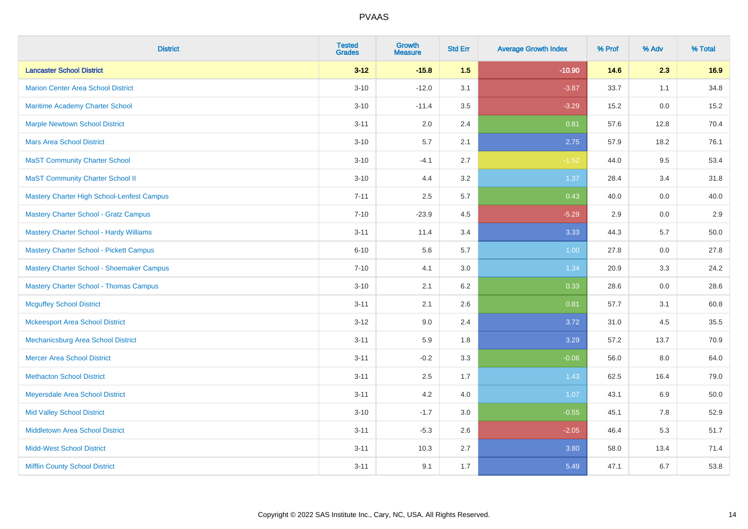| <b>District</b>                                   | <b>Tested</b><br><b>Grades</b> | <b>Growth</b><br><b>Measure</b> | <b>Std Err</b> | <b>Average Growth Index</b> | % Prof | % Adv | % Total |
|---------------------------------------------------|--------------------------------|---------------------------------|----------------|-----------------------------|--------|-------|---------|
| <b>Lancaster School District</b>                  | $3 - 12$                       | $-15.8$                         | 1.5            | $-10.90$                    | 14.6   | 2.3   | 16.9    |
| <b>Marion Center Area School District</b>         | $3 - 10$                       | $-12.0$                         | 3.1            | $-3.87$                     | 33.7   | 1.1   | 34.8    |
| Maritime Academy Charter School                   | $3 - 10$                       | $-11.4$                         | 3.5            | $-3.29$                     | 15.2   | 0.0   | 15.2    |
| <b>Marple Newtown School District</b>             | $3 - 11$                       | 2.0                             | 2.4            | 0.81                        | 57.6   | 12.8  | 70.4    |
| <b>Mars Area School District</b>                  | $3 - 10$                       | 5.7                             | 2.1            | 2.75                        | 57.9   | 18.2  | 76.1    |
| <b>MaST Community Charter School</b>              | $3 - 10$                       | $-4.1$                          | 2.7            | $-1.52$                     | 44.0   | 9.5   | 53.4    |
| <b>MaST Community Charter School II</b>           | $3 - 10$                       | 4.4                             | 3.2            | 1.37                        | 28.4   | 3.4   | 31.8    |
| <b>Mastery Charter High School-Lenfest Campus</b> | $7 - 11$                       | 2.5                             | 5.7            | 0.43                        | 40.0   | 0.0   | 40.0    |
| <b>Mastery Charter School - Gratz Campus</b>      | $7 - 10$                       | $-23.9$                         | 4.5            | $-5.29$                     | 2.9    | 0.0   | 2.9     |
| <b>Mastery Charter School - Hardy Williams</b>    | $3 - 11$                       | 11.4                            | 3.4            | 3.33                        | 44.3   | 5.7   | 50.0    |
| Mastery Charter School - Pickett Campus           | $6 - 10$                       | 5.6                             | 5.7            | 1.00                        | 27.8   | 0.0   | 27.8    |
| Mastery Charter School - Shoemaker Campus         | $7 - 10$                       | 4.1                             | 3.0            | 1.34                        | 20.9   | 3.3   | 24.2    |
| <b>Mastery Charter School - Thomas Campus</b>     | $3 - 10$                       | 2.1                             | 6.2            | 0.33                        | 28.6   | 0.0   | 28.6    |
| <b>Mcguffey School District</b>                   | $3 - 11$                       | 2.1                             | 2.6            | 0.81                        | 57.7   | 3.1   | 60.8    |
| <b>Mckeesport Area School District</b>            | $3 - 12$                       | 9.0                             | 2.4            | 3.72                        | 31.0   | 4.5   | 35.5    |
| Mechanicsburg Area School District                | $3 - 11$                       | 5.9                             | 1.8            | 3.29                        | 57.2   | 13.7  | 70.9    |
| <b>Mercer Area School District</b>                | $3 - 11$                       | $-0.2$                          | 3.3            | $-0.06$                     | 56.0   | 8.0   | 64.0    |
| <b>Methacton School District</b>                  | $3 - 11$                       | 2.5                             | 1.7            | 1.43                        | 62.5   | 16.4  | 79.0    |
| Meyersdale Area School District                   | $3 - 11$                       | 4.2                             | 4.0            | 1.07                        | 43.1   | 6.9   | 50.0    |
| <b>Mid Valley School District</b>                 | $3 - 10$                       | $-1.7$                          | 3.0            | $-0.55$                     | 45.1   | 7.8   | 52.9    |
| <b>Middletown Area School District</b>            | $3 - 11$                       | $-5.3$                          | 2.6            | $-2.05$                     | 46.4   | 5.3   | 51.7    |
| <b>Midd-West School District</b>                  | $3 - 11$                       | 10.3                            | 2.7            | 3.80                        | 58.0   | 13.4  | 71.4    |
| <b>Mifflin County School District</b>             | $3 - 11$                       | 9.1                             | 1.7            | 5.49                        | 47.1   | 6.7   | 53.8    |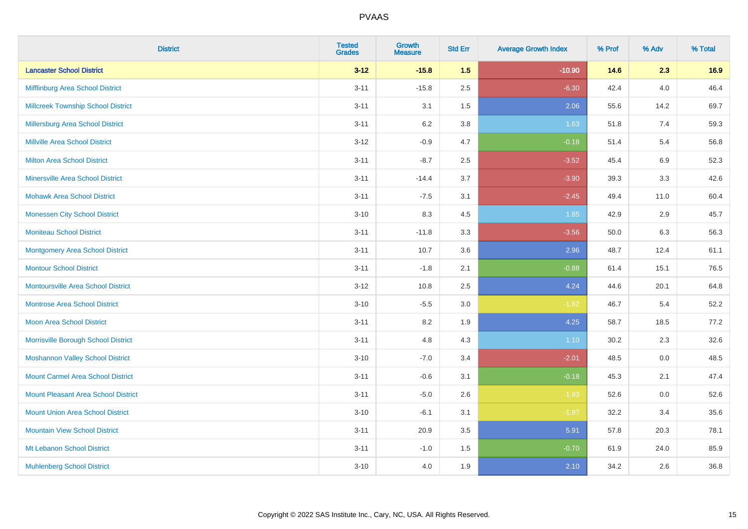| <b>District</b>                            | <b>Tested</b><br><b>Grades</b> | Growth<br><b>Measure</b> | <b>Std Err</b> | <b>Average Growth Index</b> | % Prof | % Adv   | % Total |
|--------------------------------------------|--------------------------------|--------------------------|----------------|-----------------------------|--------|---------|---------|
| <b>Lancaster School District</b>           | $3 - 12$                       | $-15.8$                  | 1.5            | $-10.90$                    | 14.6   | 2.3     | 16.9    |
| Mifflinburg Area School District           | $3 - 11$                       | $-15.8$                  | 2.5            | $-6.30$                     | 42.4   | $4.0\,$ | 46.4    |
| <b>Millcreek Township School District</b>  | $3 - 11$                       | 3.1                      | 1.5            | 2.06                        | 55.6   | 14.2    | 69.7    |
| Millersburg Area School District           | $3 - 11$                       | $6.2\,$                  | 3.8            | 1.63                        | 51.8   | 7.4     | 59.3    |
| Millville Area School District             | $3 - 12$                       | $-0.9$                   | 4.7            | $-0.18$                     | 51.4   | 5.4     | 56.8    |
| <b>Milton Area School District</b>         | $3 - 11$                       | $-8.7$                   | 2.5            | $-3.52$                     | 45.4   | 6.9     | 52.3    |
| <b>Minersville Area School District</b>    | $3 - 11$                       | $-14.4$                  | 3.7            | $-3.90$                     | 39.3   | 3.3     | 42.6    |
| <b>Mohawk Area School District</b>         | $3 - 11$                       | $-7.5$                   | 3.1            | $-2.45$                     | 49.4   | 11.0    | 60.4    |
| <b>Monessen City School District</b>       | $3 - 10$                       | 8.3                      | 4.5            | 1.85                        | 42.9   | 2.9     | 45.7    |
| <b>Moniteau School District</b>            | $3 - 11$                       | $-11.8$                  | 3.3            | $-3.56$                     | 50.0   | 6.3     | 56.3    |
| <b>Montgomery Area School District</b>     | $3 - 11$                       | 10.7                     | 3.6            | 2.96                        | 48.7   | 12.4    | 61.1    |
| <b>Montour School District</b>             | $3 - 11$                       | $-1.8$                   | 2.1            | $-0.88$                     | 61.4   | 15.1    | 76.5    |
| <b>Montoursville Area School District</b>  | $3 - 12$                       | 10.8                     | 2.5            | 4.24                        | 44.6   | 20.1    | 64.8    |
| <b>Montrose Area School District</b>       | $3 - 10$                       | $-5.5$                   | 3.0            | $-1.82$                     | 46.7   | 5.4     | 52.2    |
| <b>Moon Area School District</b>           | $3 - 11$                       | 8.2                      | 1.9            | 4.25                        | 58.7   | 18.5    | 77.2    |
| Morrisville Borough School District        | $3 - 11$                       | 4.8                      | 4.3            | 1.10                        | 30.2   | 2.3     | 32.6    |
| <b>Moshannon Valley School District</b>    | $3 - 10$                       | $-7.0$                   | 3.4            | $-2.01$                     | 48.5   | 0.0     | 48.5    |
| <b>Mount Carmel Area School District</b>   | $3 - 11$                       | $-0.6$                   | 3.1            | $-0.18$                     | 45.3   | 2.1     | 47.4    |
| <b>Mount Pleasant Area School District</b> | $3 - 11$                       | $-5.0$                   | 2.6            | $-1.93$                     | 52.6   | $0.0\,$ | 52.6    |
| <b>Mount Union Area School District</b>    | $3 - 10$                       | $-6.1$                   | 3.1            | $-1.97$                     | 32.2   | 3.4     | 35.6    |
| <b>Mountain View School District</b>       | $3 - 11$                       | 20.9                     | 3.5            | 5.91                        | 57.8   | 20.3    | 78.1    |
| Mt Lebanon School District                 | $3 - 11$                       | $-1.0$                   | 1.5            | $-0.70$                     | 61.9   | 24.0    | 85.9    |
| <b>Muhlenberg School District</b>          | $3 - 10$                       | 4.0                      | 1.9            | 2.10                        | 34.2   | 2.6     | 36.8    |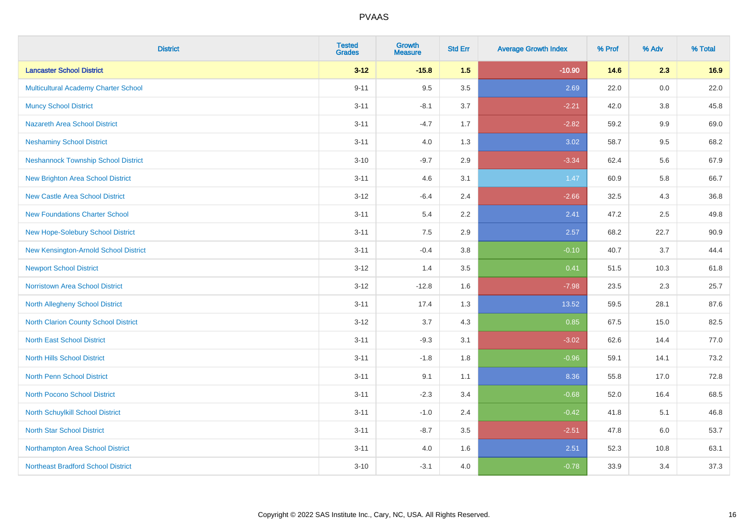| <b>District</b>                             | <b>Tested</b><br><b>Grades</b> | Growth<br><b>Measure</b> | <b>Std Err</b> | <b>Average Growth Index</b> | % Prof | % Adv   | % Total |
|---------------------------------------------|--------------------------------|--------------------------|----------------|-----------------------------|--------|---------|---------|
| <b>Lancaster School District</b>            | $3 - 12$                       | $-15.8$                  | 1.5            | $-10.90$                    | 14.6   | 2.3     | 16.9    |
| <b>Multicultural Academy Charter School</b> | $9 - 11$                       | 9.5                      | 3.5            | 2.69                        | 22.0   | 0.0     | 22.0    |
| <b>Muncy School District</b>                | $3 - 11$                       | $-8.1$                   | 3.7            | $-2.21$                     | 42.0   | $3.8\,$ | 45.8    |
| <b>Nazareth Area School District</b>        | $3 - 11$                       | $-4.7$                   | 1.7            | $-2.82$                     | 59.2   | 9.9     | 69.0    |
| <b>Neshaminy School District</b>            | $3 - 11$                       | 4.0                      | 1.3            | 3.02                        | 58.7   | 9.5     | 68.2    |
| <b>Neshannock Township School District</b>  | $3 - 10$                       | $-9.7$                   | 2.9            | $-3.34$                     | 62.4   | 5.6     | 67.9    |
| <b>New Brighton Area School District</b>    | $3 - 11$                       | 4.6                      | 3.1            | 1.47                        | 60.9   | 5.8     | 66.7    |
| <b>New Castle Area School District</b>      | $3 - 12$                       | $-6.4$                   | 2.4            | $-2.66$                     | 32.5   | 4.3     | 36.8    |
| <b>New Foundations Charter School</b>       | $3 - 11$                       | 5.4                      | 2.2            | 2.41                        | 47.2   | 2.5     | 49.8    |
| New Hope-Solebury School District           | $3 - 11$                       | 7.5                      | 2.9            | 2.57                        | 68.2   | 22.7    | 90.9    |
| New Kensington-Arnold School District       | $3 - 11$                       | $-0.4$                   | 3.8            | $-0.10$                     | 40.7   | 3.7     | 44.4    |
| <b>Newport School District</b>              | $3 - 12$                       | 1.4                      | 3.5            | 0.41                        | 51.5   | 10.3    | 61.8    |
| Norristown Area School District             | $3 - 12$                       | $-12.8$                  | 1.6            | $-7.98$                     | 23.5   | 2.3     | 25.7    |
| North Allegheny School District             | $3 - 11$                       | 17.4                     | 1.3            | 13.52                       | 59.5   | 28.1    | 87.6    |
| <b>North Clarion County School District</b> | $3 - 12$                       | 3.7                      | 4.3            | 0.85                        | 67.5   | 15.0    | 82.5    |
| <b>North East School District</b>           | $3 - 11$                       | $-9.3$                   | 3.1            | $-3.02$                     | 62.6   | 14.4    | 77.0    |
| <b>North Hills School District</b>          | $3 - 11$                       | $-1.8$                   | 1.8            | $-0.96$                     | 59.1   | 14.1    | 73.2    |
| <b>North Penn School District</b>           | $3 - 11$                       | 9.1                      | 1.1            | 8.36                        | 55.8   | 17.0    | 72.8    |
| <b>North Pocono School District</b>         | $3 - 11$                       | $-2.3$                   | 3.4            | $-0.68$                     | 52.0   | 16.4    | 68.5    |
| North Schuylkill School District            | $3 - 11$                       | $-1.0$                   | 2.4            | $-0.42$                     | 41.8   | 5.1     | 46.8    |
| <b>North Star School District</b>           | $3 - 11$                       | $-8.7$                   | 3.5            | $-2.51$                     | 47.8   | 6.0     | 53.7    |
| Northampton Area School District            | $3 - 11$                       | 4.0                      | 1.6            | 2.51                        | 52.3   | 10.8    | 63.1    |
| <b>Northeast Bradford School District</b>   | $3 - 10$                       | $-3.1$                   | 4.0            | $-0.78$                     | 33.9   | 3.4     | 37.3    |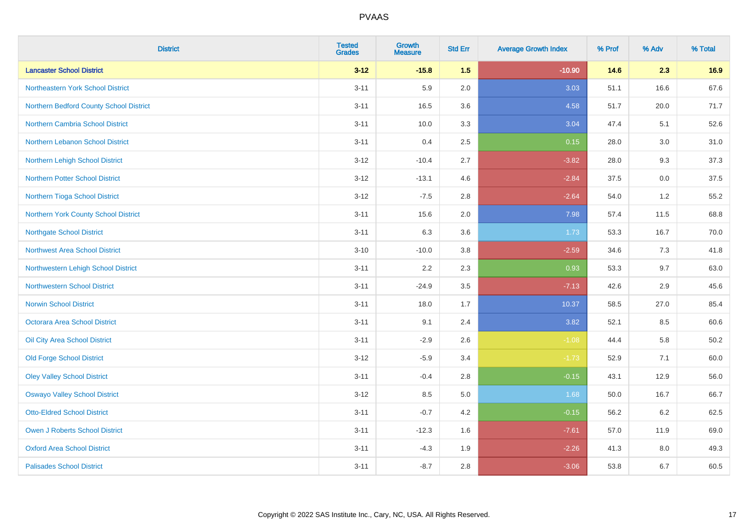| <b>District</b>                         | <b>Tested</b><br><b>Grades</b> | <b>Growth</b><br><b>Measure</b> | <b>Std Err</b> | <b>Average Growth Index</b> | % Prof | % Adv | % Total  |
|-----------------------------------------|--------------------------------|---------------------------------|----------------|-----------------------------|--------|-------|----------|
| <b>Lancaster School District</b>        | $3 - 12$                       | $-15.8$                         | 1.5            | $-10.90$                    | 14.6   | 2.3   | 16.9     |
| Northeastern York School District       | $3 - 11$                       | 5.9                             | 2.0            | 3.03                        | 51.1   | 16.6  | 67.6     |
| Northern Bedford County School District | $3 - 11$                       | 16.5                            | 3.6            | 4.58                        | 51.7   | 20.0  | 71.7     |
| <b>Northern Cambria School District</b> | $3 - 11$                       | 10.0                            | 3.3            | 3.04                        | 47.4   | 5.1   | 52.6     |
| Northern Lebanon School District        | $3 - 11$                       | 0.4                             | 2.5            | 0.15                        | 28.0   | 3.0   | 31.0     |
| Northern Lehigh School District         | $3 - 12$                       | $-10.4$                         | 2.7            | $-3.82$                     | 28.0   | 9.3   | 37.3     |
| <b>Northern Potter School District</b>  | $3 - 12$                       | $-13.1$                         | 4.6            | $-2.84$                     | 37.5   | 0.0   | 37.5     |
| Northern Tioga School District          | $3 - 12$                       | $-7.5$                          | 2.8            | $-2.64$                     | 54.0   | 1.2   | 55.2     |
| Northern York County School District    | $3 - 11$                       | 15.6                            | 2.0            | 7.98                        | 57.4   | 11.5  | 68.8     |
| <b>Northgate School District</b>        | $3 - 11$                       | 6.3                             | 3.6            | 1.73                        | 53.3   | 16.7  | 70.0     |
| <b>Northwest Area School District</b>   | $3 - 10$                       | $-10.0$                         | $3.8\,$        | $-2.59$                     | 34.6   | 7.3   | 41.8     |
| Northwestern Lehigh School District     | $3 - 11$                       | 2.2                             | 2.3            | 0.93                        | 53.3   | 9.7   | 63.0     |
| <b>Northwestern School District</b>     | $3 - 11$                       | $-24.9$                         | 3.5            | $-7.13$                     | 42.6   | 2.9   | 45.6     |
| <b>Norwin School District</b>           | $3 - 11$                       | 18.0                            | 1.7            | 10.37                       | 58.5   | 27.0  | 85.4     |
| Octorara Area School District           | $3 - 11$                       | 9.1                             | 2.4            | 3.82                        | 52.1   | 8.5   | 60.6     |
| Oil City Area School District           | $3 - 11$                       | $-2.9$                          | 2.6            | $-1.08$                     | 44.4   | 5.8   | $50.2\,$ |
| <b>Old Forge School District</b>        | $3-12$                         | $-5.9$                          | 3.4            | $-1.73$                     | 52.9   | 7.1   | 60.0     |
| <b>Oley Valley School District</b>      | $3 - 11$                       | $-0.4$                          | 2.8            | $-0.15$                     | 43.1   | 12.9  | 56.0     |
| <b>Oswayo Valley School District</b>    | $3 - 12$                       | 8.5                             | $5.0\,$        | 1.68                        | 50.0   | 16.7  | 66.7     |
| <b>Otto-Eldred School District</b>      | $3 - 11$                       | $-0.7$                          | 4.2            | $-0.15$                     | 56.2   | 6.2   | 62.5     |
| <b>Owen J Roberts School District</b>   | $3 - 11$                       | $-12.3$                         | 1.6            | $-7.61$                     | 57.0   | 11.9  | 69.0     |
| <b>Oxford Area School District</b>      | $3 - 11$                       | $-4.3$                          | 1.9            | $-2.26$                     | 41.3   | 8.0   | 49.3     |
| <b>Palisades School District</b>        | $3 - 11$                       | $-8.7$                          | 2.8            | $-3.06$                     | 53.8   | 6.7   | 60.5     |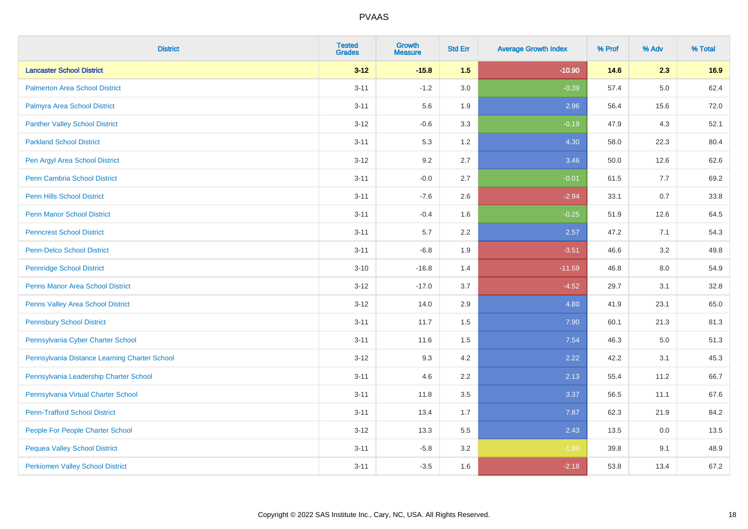| <b>District</b>                               | <b>Tested</b><br><b>Grades</b> | Growth<br><b>Measure</b> | <b>Std Err</b> | <b>Average Growth Index</b> | % Prof | % Adv | % Total |
|-----------------------------------------------|--------------------------------|--------------------------|----------------|-----------------------------|--------|-------|---------|
| <b>Lancaster School District</b>              | $3 - 12$                       | $-15.8$                  | 1.5            | $-10.90$                    | 14.6   | 2.3   | 16.9    |
| <b>Palmerton Area School District</b>         | $3 - 11$                       | $-1.2$                   | 3.0            | $-0.39$                     | 57.4   | 5.0   | 62.4    |
| Palmyra Area School District                  | $3 - 11$                       | 5.6                      | 1.9            | 2.96                        | 56.4   | 15.6  | 72.0    |
| <b>Panther Valley School District</b>         | $3 - 12$                       | $-0.6$                   | 3.3            | $-0.19$                     | 47.9   | 4.3   | 52.1    |
| <b>Parkland School District</b>               | $3 - 11$                       | 5.3                      | 1.2            | 4.30                        | 58.0   | 22.3  | 80.4    |
| Pen Argyl Area School District                | $3 - 12$                       | 9.2                      | 2.7            | 3.46                        | 50.0   | 12.6  | 62.6    |
| Penn Cambria School District                  | $3 - 11$                       | $-0.0$                   | 2.7            | $-0.01$                     | 61.5   | 7.7   | 69.2    |
| <b>Penn Hills School District</b>             | $3 - 11$                       | $-7.6$                   | 2.6            | $-2.94$                     | 33.1   | 0.7   | 33.8    |
| <b>Penn Manor School District</b>             | $3 - 11$                       | $-0.4$                   | 1.6            | $-0.25$                     | 51.9   | 12.6  | 64.5    |
| <b>Penncrest School District</b>              | $3 - 11$                       | 5.7                      | 2.2            | 2.57                        | 47.2   | 7.1   | 54.3    |
| <b>Penn-Delco School District</b>             | $3 - 11$                       | $-6.8$                   | 1.9            | $-3.51$                     | 46.6   | 3.2   | 49.8    |
| <b>Pennridge School District</b>              | $3 - 10$                       | $-16.8$                  | 1.4            | $-11.59$                    | 46.8   | 8.0   | 54.9    |
| Penns Manor Area School District              | $3 - 12$                       | $-17.0$                  | 3.7            | $-4.52$                     | 29.7   | 3.1   | 32.8    |
| Penns Valley Area School District             | $3 - 12$                       | 14.0                     | 2.9            | 4.80                        | 41.9   | 23.1  | 65.0    |
| <b>Pennsbury School District</b>              | $3 - 11$                       | 11.7                     | 1.5            | 7.90                        | 60.1   | 21.3  | 81.3    |
| Pennsylvania Cyber Charter School             | $3 - 11$                       | 11.6                     | 1.5            | 7.54                        | 46.3   | 5.0   | 51.3    |
| Pennsylvania Distance Learning Charter School | $3 - 12$                       | 9.3                      | 4.2            | 2.22                        | 42.2   | 3.1   | 45.3    |
| Pennsylvania Leadership Charter School        | $3 - 11$                       | 4.6                      | 2.2            | 2.13                        | 55.4   | 11.2  | 66.7    |
| Pennsylvania Virtual Charter School           | $3 - 11$                       | 11.8                     | 3.5            | 3.37                        | 56.5   | 11.1  | 67.6    |
| <b>Penn-Trafford School District</b>          | $3 - 11$                       | 13.4                     | 1.7            | 7.87                        | 62.3   | 21.9  | 84.2    |
| People For People Charter School              | $3 - 12$                       | 13.3                     | 5.5            | 2.43                        | 13.5   | 0.0   | 13.5    |
| <b>Pequea Valley School District</b>          | $3 - 11$                       | $-5.8$                   | 3.2            | $-1.80$                     | 39.8   | 9.1   | 48.9    |
| <b>Perkiomen Valley School District</b>       | $3 - 11$                       | $-3.5$                   | 1.6            | $-2.18$                     | 53.8   | 13.4  | 67.2    |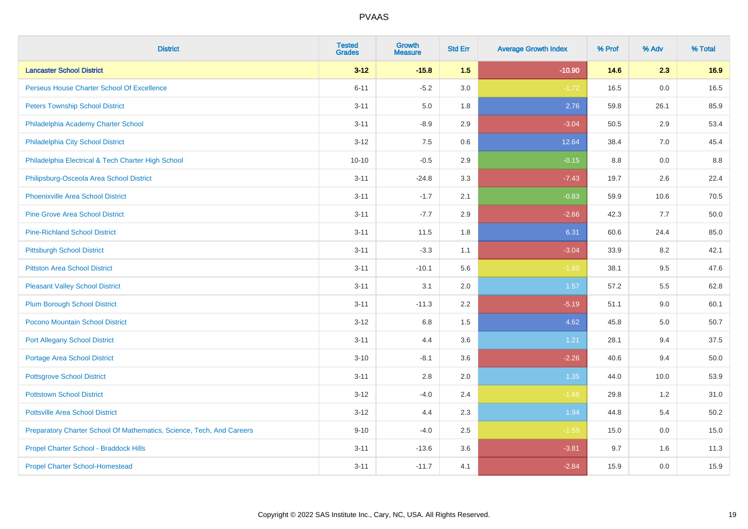| <b>District</b>                                                       | <b>Tested</b><br><b>Grades</b> | <b>Growth</b><br><b>Measure</b> | <b>Std Err</b> | <b>Average Growth Index</b> | % Prof | % Adv | % Total |
|-----------------------------------------------------------------------|--------------------------------|---------------------------------|----------------|-----------------------------|--------|-------|---------|
| <b>Lancaster School District</b>                                      | $3 - 12$                       | $-15.8$                         | 1.5            | $-10.90$                    | 14.6   | 2.3   | 16.9    |
| Perseus House Charter School Of Excellence                            | $6 - 11$                       | $-5.2$                          | 3.0            | $-1.72$                     | 16.5   | 0.0   | 16.5    |
| <b>Peters Township School District</b>                                | $3 - 11$                       | 5.0                             | 1.8            | 2.76                        | 59.8   | 26.1  | 85.9    |
| Philadelphia Academy Charter School                                   | $3 - 11$                       | $-8.9$                          | 2.9            | $-3.04$                     | 50.5   | 2.9   | 53.4    |
| Philadelphia City School District                                     | $3 - 12$                       | 7.5                             | 0.6            | 12.64                       | 38.4   | 7.0   | 45.4    |
| Philadelphia Electrical & Tech Charter High School                    | $10 - 10$                      | $-0.5$                          | 2.9            | $-0.15$                     | 8.8    | 0.0   | 8.8     |
| Philipsburg-Osceola Area School District                              | $3 - 11$                       | $-24.8$                         | 3.3            | $-7.43$                     | 19.7   | 2.6   | 22.4    |
| <b>Phoenixville Area School District</b>                              | $3 - 11$                       | $-1.7$                          | 2.1            | $-0.83$                     | 59.9   | 10.6  | 70.5    |
| <b>Pine Grove Area School District</b>                                | $3 - 11$                       | $-7.7$                          | 2.9            | $-2.66$                     | 42.3   | 7.7   | 50.0    |
| <b>Pine-Richland School District</b>                                  | $3 - 11$                       | 11.5                            | 1.8            | 6.31                        | 60.6   | 24.4  | 85.0    |
| <b>Pittsburgh School District</b>                                     | $3 - 11$                       | $-3.3$                          | 1.1            | $-3.04$                     | 33.9   | 8.2   | 42.1    |
| <b>Pittston Area School District</b>                                  | $3 - 11$                       | $-10.1$                         | 5.6            | $-1.80$                     | 38.1   | 9.5   | 47.6    |
| <b>Pleasant Valley School District</b>                                | $3 - 11$                       | 3.1                             | 2.0            | 1.57                        | 57.2   | 5.5   | 62.8    |
| <b>Plum Borough School District</b>                                   | $3 - 11$                       | $-11.3$                         | 2.2            | $-5.19$                     | 51.1   | 9.0   | 60.1    |
| Pocono Mountain School District                                       | $3 - 12$                       | $6.8\,$                         | 1.5            | 4.62                        | 45.8   | 5.0   | 50.7    |
| <b>Port Allegany School District</b>                                  | $3 - 11$                       | 4.4                             | 3.6            | 1.21                        | 28.1   | 9.4   | 37.5    |
| <b>Portage Area School District</b>                                   | $3 - 10$                       | $-8.1$                          | 3.6            | $-2.26$                     | 40.6   | 9.4   | 50.0    |
| <b>Pottsgrove School District</b>                                     | $3 - 11$                       | 2.8                             | 2.0            | 1.35                        | 44.0   | 10.0  | 53.9    |
| <b>Pottstown School District</b>                                      | $3 - 12$                       | $-4.0$                          | 2.4            | $-1.68$                     | 29.8   | 1.2   | 31.0    |
| <b>Pottsville Area School District</b>                                | $3 - 12$                       | 4.4                             | 2.3            | 1.94                        | 44.8   | 5.4   | 50.2    |
| Preparatory Charter School Of Mathematics, Science, Tech, And Careers | $9 - 10$                       | $-4.0$                          | 2.5            | $-1.59$                     | 15.0   | 0.0   | 15.0    |
| Propel Charter School - Braddock Hills                                | $3 - 11$                       | $-13.6$                         | 3.6            | $-3.81$                     | 9.7    | 1.6   | 11.3    |
| <b>Propel Charter School-Homestead</b>                                | $3 - 11$                       | $-11.7$                         | 4.1            | $-2.84$                     | 15.9   | 0.0   | 15.9    |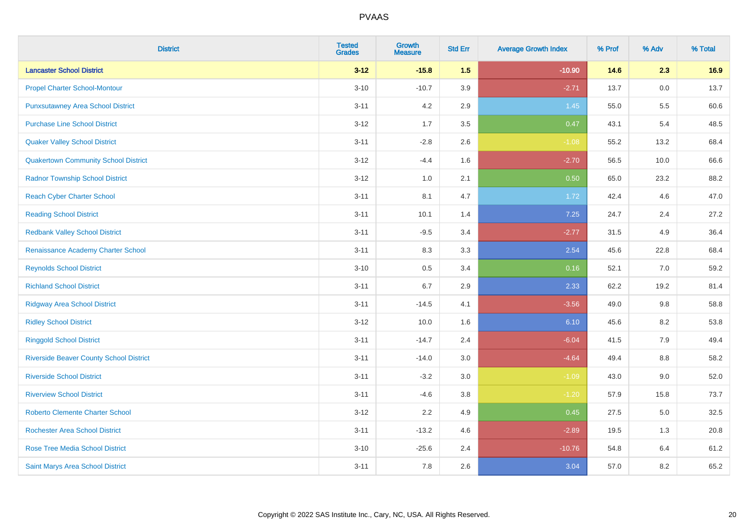| <b>District</b>                                | <b>Tested</b><br><b>Grades</b> | <b>Growth</b><br><b>Measure</b> | <b>Std Err</b> | <b>Average Growth Index</b> | % Prof | % Adv | % Total |
|------------------------------------------------|--------------------------------|---------------------------------|----------------|-----------------------------|--------|-------|---------|
| <b>Lancaster School District</b>               | $3 - 12$                       | $-15.8$                         | 1.5            | $-10.90$                    | 14.6   | 2.3   | 16.9    |
| <b>Propel Charter School-Montour</b>           | $3 - 10$                       | $-10.7$                         | 3.9            | $-2.71$                     | 13.7   | 0.0   | 13.7    |
| <b>Punxsutawney Area School District</b>       | $3 - 11$                       | 4.2                             | 2.9            | 1.45                        | 55.0   | 5.5   | 60.6    |
| <b>Purchase Line School District</b>           | $3 - 12$                       | 1.7                             | 3.5            | 0.47                        | 43.1   | 5.4   | 48.5    |
| <b>Quaker Valley School District</b>           | $3 - 11$                       | $-2.8$                          | 2.6            | $-1.08$                     | 55.2   | 13.2  | 68.4    |
| <b>Quakertown Community School District</b>    | $3 - 12$                       | $-4.4$                          | 1.6            | $-2.70$                     | 56.5   | 10.0  | 66.6    |
| <b>Radnor Township School District</b>         | $3 - 12$                       | $1.0\,$                         | 2.1            | 0.50                        | 65.0   | 23.2  | 88.2    |
| <b>Reach Cyber Charter School</b>              | $3 - 11$                       | 8.1                             | 4.7            | 1.72                        | 42.4   | 4.6   | 47.0    |
| <b>Reading School District</b>                 | $3 - 11$                       | 10.1                            | 1.4            | 7.25                        | 24.7   | 2.4   | 27.2    |
| <b>Redbank Valley School District</b>          | $3 - 11$                       | $-9.5$                          | 3.4            | $-2.77$                     | 31.5   | 4.9   | 36.4    |
| Renaissance Academy Charter School             | $3 - 11$                       | 8.3                             | 3.3            | 2.54                        | 45.6   | 22.8  | 68.4    |
| <b>Reynolds School District</b>                | $3 - 10$                       | 0.5                             | 3.4            | 0.16                        | 52.1   | 7.0   | 59.2    |
| <b>Richland School District</b>                | $3 - 11$                       | 6.7                             | 2.9            | 2.33                        | 62.2   | 19.2  | 81.4    |
| <b>Ridgway Area School District</b>            | $3 - 11$                       | $-14.5$                         | 4.1            | $-3.56$                     | 49.0   | 9.8   | 58.8    |
| <b>Ridley School District</b>                  | $3 - 12$                       | 10.0                            | 1.6            | 6.10                        | 45.6   | 8.2   | 53.8    |
| <b>Ringgold School District</b>                | $3 - 11$                       | $-14.7$                         | 2.4            | $-6.04$                     | 41.5   | 7.9   | 49.4    |
| <b>Riverside Beaver County School District</b> | $3 - 11$                       | $-14.0$                         | 3.0            | $-4.64$                     | 49.4   | 8.8   | 58.2    |
| <b>Riverside School District</b>               | $3 - 11$                       | $-3.2$                          | 3.0            | $-1.09$                     | 43.0   | 9.0   | 52.0    |
| <b>Riverview School District</b>               | $3 - 11$                       | $-4.6$                          | 3.8            | $-1.20$                     | 57.9   | 15.8  | 73.7    |
| <b>Roberto Clemente Charter School</b>         | $3 - 12$                       | 2.2                             | 4.9            | 0.45                        | 27.5   | 5.0   | 32.5    |
| <b>Rochester Area School District</b>          | $3 - 11$                       | $-13.2$                         | 4.6            | $-2.89$                     | 19.5   | 1.3   | 20.8    |
| <b>Rose Tree Media School District</b>         | $3 - 10$                       | $-25.6$                         | 2.4            | $-10.76$                    | 54.8   | 6.4   | 61.2    |
| Saint Marys Area School District               | $3 - 11$                       | 7.8                             | 2.6            | 3.04                        | 57.0   | 8.2   | 65.2    |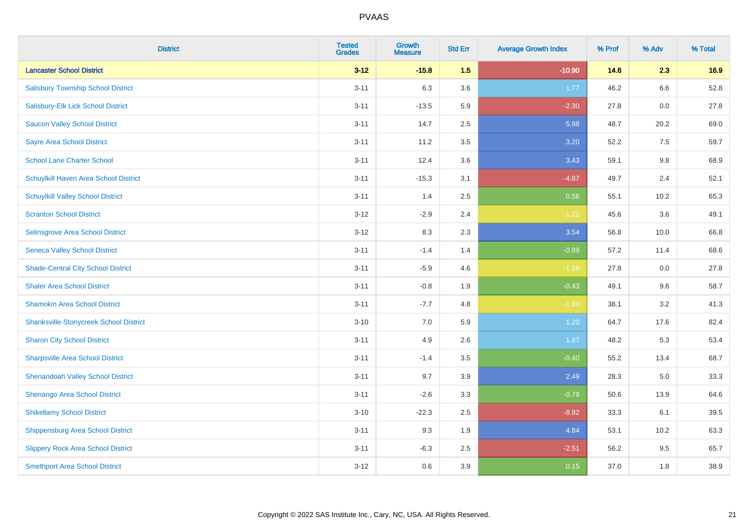| <b>District</b>                               | <b>Tested</b><br><b>Grades</b> | <b>Growth</b><br><b>Measure</b> | <b>Std Err</b> | <b>Average Growth Index</b> | % Prof | % Adv | % Total |
|-----------------------------------------------|--------------------------------|---------------------------------|----------------|-----------------------------|--------|-------|---------|
| <b>Lancaster School District</b>              | $3 - 12$                       | $-15.8$                         | 1.5            | $-10.90$                    | 14.6   | 2.3   | 16.9    |
| <b>Salisbury Township School District</b>     | $3 - 11$                       | 6.3                             | 3.6            | 1.77                        | 46.2   | 6.6   | 52.8    |
| Salisbury-Elk Lick School District            | $3 - 11$                       | $-13.5$                         | 5.9            | $-2.30$                     | 27.8   | 0.0   | 27.8    |
| <b>Saucon Valley School District</b>          | $3 - 11$                       | 14.7                            | 2.5            | 5.98                        | 48.7   | 20.2  | 69.0    |
| Sayre Area School District                    | $3 - 11$                       | 11.2                            | 3.5            | 3.20                        | 52.2   | 7.5   | 59.7    |
| <b>School Lane Charter School</b>             | $3 - 11$                       | 12.4                            | 3.6            | 3.43                        | 59.1   | 9.8   | 68.9    |
| Schuylkill Haven Area School District         | $3 - 11$                       | $-15.3$                         | 3.1            | $-4.87$                     | 49.7   | 2.4   | 52.1    |
| <b>Schuylkill Valley School District</b>      | $3 - 11$                       | 1.4                             | 2.5            | 0.56                        | 55.1   | 10.2  | 65.3    |
| <b>Scranton School District</b>               | $3 - 12$                       | $-2.9$                          | 2.4            | $-1.22$                     | 45.6   | 3.6   | 49.1    |
| Selinsgrove Area School District              | $3 - 12$                       | 8.3                             | 2.3            | 3.54                        | 56.8   | 10.0  | 66.8    |
| <b>Seneca Valley School District</b>          | $3 - 11$                       | $-1.4$                          | 1.4            | $-0.99$                     | 57.2   | 11.4  | 68.6    |
| <b>Shade-Central City School District</b>     | $3 - 11$                       | $-5.9$                          | 4.6            | $-1.28$                     | 27.8   | 0.0   | 27.8    |
| <b>Shaler Area School District</b>            | $3 - 11$                       | $-0.8$                          | 1.9            | $-0.43$                     | 49.1   | 9.6   | 58.7    |
| <b>Shamokin Area School District</b>          | $3 - 11$                       | $-7.7$                          | 4.8            | $-1.60$                     | 38.1   | 3.2   | 41.3    |
| <b>Shanksville-Stonycreek School District</b> | $3 - 10$                       | 7.0                             | 5.9            | 1.20                        | 64.7   | 17.6  | 82.4    |
| <b>Sharon City School District</b>            | $3 - 11$                       | 4.9                             | 2.6            | 1.87                        | 48.2   | 5.3   | 53.4    |
| <b>Sharpsville Area School District</b>       | $3 - 11$                       | $-1.4$                          | 3.5            | $-0.40$                     | 55.2   | 13.4  | 68.7    |
| <b>Shenandoah Valley School District</b>      | $3 - 11$                       | 9.7                             | 3.9            | 2.49                        | 28.3   | 5.0   | 33.3    |
| Shenango Area School District                 | $3 - 11$                       | $-2.6$                          | 3.3            | $-0.79$                     | 50.6   | 13.9  | 64.6    |
| <b>Shikellamy School District</b>             | $3 - 10$                       | $-22.3$                         | 2.5            | $-8.92$                     | 33.3   | 6.1   | 39.5    |
| <b>Shippensburg Area School District</b>      | $3 - 11$                       | 9.3                             | 1.9            | 4.84                        | 53.1   | 10.2  | 63.3    |
| <b>Slippery Rock Area School District</b>     | $3 - 11$                       | $-6.3$                          | 2.5            | $-2.51$                     | 56.2   | 9.5   | 65.7    |
| <b>Smethport Area School District</b>         | $3 - 12$                       | 0.6                             | 3.9            | 0.15                        | 37.0   | 1.8   | 38.9    |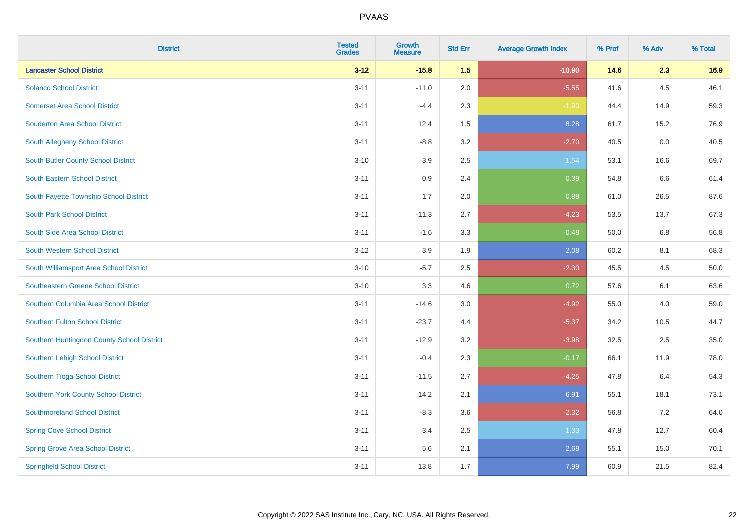| <b>District</b>                            | <b>Tested</b><br><b>Grades</b> | <b>Growth</b><br><b>Measure</b> | <b>Std Err</b> | <b>Average Growth Index</b> | % Prof | % Adv | % Total |
|--------------------------------------------|--------------------------------|---------------------------------|----------------|-----------------------------|--------|-------|---------|
| <b>Lancaster School District</b>           | $3 - 12$                       | $-15.8$                         | 1.5            | $-10.90$                    | 14.6   | 2.3   | 16.9    |
| <b>Solanco School District</b>             | $3 - 11$                       | $-11.0$                         | 2.0            | $-5.55$                     | 41.6   | 4.5   | 46.1    |
| <b>Somerset Area School District</b>       | $3 - 11$                       | $-4.4$                          | 2.3            | $-1.93$                     | 44.4   | 14.9  | 59.3    |
| <b>Souderton Area School District</b>      | $3 - 11$                       | 12.4                            | 1.5            | 8.28                        | 61.7   | 15.2  | 76.9    |
| South Allegheny School District            | $3 - 11$                       | $-8.8$                          | 3.2            | $-2.70$                     | 40.5   | 0.0   | 40.5    |
| South Butler County School District        | $3 - 10$                       | 3.9                             | 2.5            | 1.54                        | 53.1   | 16.6  | 69.7    |
| South Eastern School District              | $3 - 11$                       | 0.9                             | 2.4            | 0.39                        | 54.8   | 6.6   | 61.4    |
| South Fayette Township School District     | $3 - 11$                       | 1.7                             | 2.0            | 0.88                        | 61.0   | 26.5  | 87.6    |
| <b>South Park School District</b>          | $3 - 11$                       | $-11.3$                         | 2.7            | $-4.23$                     | 53.5   | 13.7  | 67.3    |
| South Side Area School District            | $3 - 11$                       | $-1.6$                          | 3.3            | $-0.48$                     | 50.0   | 6.8   | 56.8    |
| South Western School District              | $3 - 12$                       | 3.9                             | 1.9            | 2.08                        | 60.2   | 8.1   | 68.3    |
| South Williamsport Area School District    | $3 - 10$                       | $-5.7$                          | 2.5            | $-2.30$                     | 45.5   | 4.5   | 50.0    |
| Southeastern Greene School District        | $3 - 10$                       | 3.3                             | 4.6            | 0.72                        | 57.6   | 6.1   | 63.6    |
| Southern Columbia Area School District     | $3 - 11$                       | $-14.6$                         | 3.0            | $-4.92$                     | 55.0   | 4.0   | 59.0    |
| <b>Southern Fulton School District</b>     | $3 - 11$                       | $-23.7$                         | 4.4            | $-5.37$                     | 34.2   | 10.5  | 44.7    |
| Southern Huntingdon County School District | $3 - 11$                       | $-12.9$                         | 3.2            | $-3.98$                     | 32.5   | 2.5   | 35.0    |
| Southern Lehigh School District            | $3 - 11$                       | $-0.4$                          | 2.3            | $-0.17$                     | 66.1   | 11.9  | 78.0    |
| Southern Tioga School District             | $3 - 11$                       | $-11.5$                         | 2.7            | $-4.25$                     | 47.8   | 6.4   | 54.3    |
| Southern York County School District       | $3 - 11$                       | 14.2                            | 2.1            | 6.91                        | 55.1   | 18.1  | 73.1    |
| <b>Southmoreland School District</b>       | $3 - 11$                       | $-8.3$                          | 3.6            | $-2.32$                     | 56.8   | 7.2   | 64.0    |
| <b>Spring Cove School District</b>         | $3 - 11$                       | 3.4                             | 2.5            | 1.33                        | 47.8   | 12.7  | 60.4    |
| <b>Spring Grove Area School District</b>   | $3 - 11$                       | 5.6                             | 2.1            | 2.68                        | 55.1   | 15.0  | 70.1    |
| <b>Springfield School District</b>         | $3 - 11$                       | 13.8                            | 1.7            | 7.99                        | 60.9   | 21.5  | 82.4    |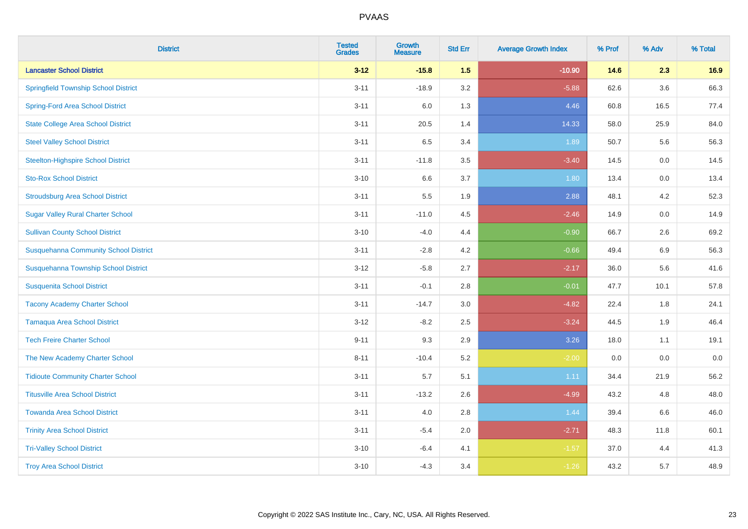| <b>District</b>                              | <b>Tested</b><br><b>Grades</b> | <b>Growth</b><br><b>Measure</b> | <b>Std Err</b> | <b>Average Growth Index</b> | % Prof | % Adv   | % Total |
|----------------------------------------------|--------------------------------|---------------------------------|----------------|-----------------------------|--------|---------|---------|
| <b>Lancaster School District</b>             | $3 - 12$                       | $-15.8$                         | 1.5            | $-10.90$                    | 14.6   | 2.3     | 16.9    |
| <b>Springfield Township School District</b>  | $3 - 11$                       | $-18.9$                         | 3.2            | $-5.88$                     | 62.6   | $3.6\,$ | 66.3    |
| <b>Spring-Ford Area School District</b>      | $3 - 11$                       | 6.0                             | 1.3            | 4.46                        | 60.8   | 16.5    | 77.4    |
| <b>State College Area School District</b>    | $3 - 11$                       | 20.5                            | 1.4            | 14.33                       | 58.0   | 25.9    | 84.0    |
| <b>Steel Valley School District</b>          | $3 - 11$                       | 6.5                             | 3.4            | 1.89                        | 50.7   | 5.6     | 56.3    |
| <b>Steelton-Highspire School District</b>    | $3 - 11$                       | $-11.8$                         | 3.5            | $-3.40$                     | 14.5   | 0.0     | 14.5    |
| <b>Sto-Rox School District</b>               | $3 - 10$                       | 6.6                             | 3.7            | 1.80                        | 13.4   | 0.0     | 13.4    |
| <b>Stroudsburg Area School District</b>      | $3 - 11$                       | $5.5\,$                         | 1.9            | 2.88                        | 48.1   | 4.2     | 52.3    |
| <b>Sugar Valley Rural Charter School</b>     | $3 - 11$                       | $-11.0$                         | 4.5            | $-2.46$                     | 14.9   | 0.0     | 14.9    |
| <b>Sullivan County School District</b>       | $3 - 10$                       | $-4.0$                          | 4.4            | $-0.90$                     | 66.7   | 2.6     | 69.2    |
| <b>Susquehanna Community School District</b> | $3 - 11$                       | $-2.8$                          | 4.2            | $-0.66$                     | 49.4   | 6.9     | 56.3    |
| Susquehanna Township School District         | $3 - 12$                       | $-5.8$                          | 2.7            | $-2.17$                     | 36.0   | 5.6     | 41.6    |
| <b>Susquenita School District</b>            | $3 - 11$                       | $-0.1$                          | 2.8            | $-0.01$                     | 47.7   | 10.1    | 57.8    |
| <b>Tacony Academy Charter School</b>         | $3 - 11$                       | $-14.7$                         | 3.0            | $-4.82$                     | 22.4   | 1.8     | 24.1    |
| <b>Tamaqua Area School District</b>          | $3 - 12$                       | $-8.2$                          | 2.5            | $-3.24$                     | 44.5   | 1.9     | 46.4    |
| <b>Tech Freire Charter School</b>            | $9 - 11$                       | 9.3                             | 2.9            | 3.26                        | 18.0   | 1.1     | 19.1    |
| The New Academy Charter School               | $8 - 11$                       | $-10.4$                         | 5.2            | $-2.00$                     | 0.0    | 0.0     | 0.0     |
| <b>Tidioute Community Charter School</b>     | $3 - 11$                       | 5.7                             | 5.1            | 1.11                        | 34.4   | 21.9    | 56.2    |
| <b>Titusville Area School District</b>       | $3 - 11$                       | $-13.2$                         | 2.6            | $-4.99$                     | 43.2   | 4.8     | 48.0    |
| <b>Towanda Area School District</b>          | $3 - 11$                       | 4.0                             | 2.8            | 1.44                        | 39.4   | 6.6     | 46.0    |
| <b>Trinity Area School District</b>          | $3 - 11$                       | $-5.4$                          | 2.0            | $-2.71$                     | 48.3   | 11.8    | 60.1    |
| <b>Tri-Valley School District</b>            | $3 - 10$                       | $-6.4$                          | 4.1            | $-1.57$                     | 37.0   | 4.4     | 41.3    |
| <b>Troy Area School District</b>             | $3 - 10$                       | $-4.3$                          | 3.4            | $-1.26$                     | 43.2   | 5.7     | 48.9    |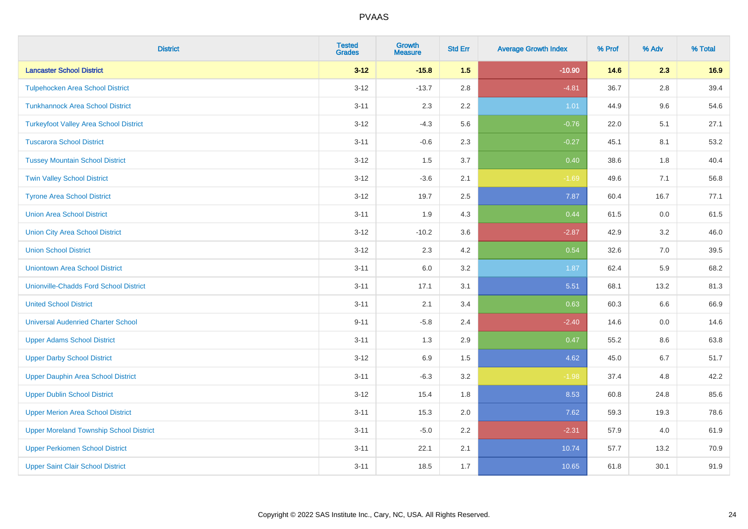| <b>District</b>                                | <b>Tested</b><br><b>Grades</b> | Growth<br><b>Measure</b> | <b>Std Err</b> | <b>Average Growth Index</b> | % Prof | % Adv   | % Total |
|------------------------------------------------|--------------------------------|--------------------------|----------------|-----------------------------|--------|---------|---------|
| <b>Lancaster School District</b>               | $3 - 12$                       | $-15.8$                  | 1.5            | $-10.90$                    | 14.6   | 2.3     | 16.9    |
| <b>Tulpehocken Area School District</b>        | $3 - 12$                       | $-13.7$                  | 2.8            | $-4.81$                     | 36.7   | 2.8     | 39.4    |
| <b>Tunkhannock Area School District</b>        | $3 - 11$                       | 2.3                      | 2.2            | 1.01                        | 44.9   | 9.6     | 54.6    |
| <b>Turkeyfoot Valley Area School District</b>  | $3 - 12$                       | $-4.3$                   | 5.6            | $-0.76$                     | 22.0   | 5.1     | 27.1    |
| <b>Tuscarora School District</b>               | $3 - 11$                       | $-0.6$                   | 2.3            | $-0.27$                     | 45.1   | 8.1     | 53.2    |
| <b>Tussey Mountain School District</b>         | $3 - 12$                       | 1.5                      | 3.7            | 0.40                        | 38.6   | 1.8     | 40.4    |
| <b>Twin Valley School District</b>             | $3 - 12$                       | $-3.6$                   | 2.1            | $-1.69$                     | 49.6   | 7.1     | 56.8    |
| <b>Tyrone Area School District</b>             | $3 - 12$                       | 19.7                     | 2.5            | 7.87                        | 60.4   | 16.7    | 77.1    |
| <b>Union Area School District</b>              | $3 - 11$                       | 1.9                      | 4.3            | 0.44                        | 61.5   | 0.0     | 61.5    |
| <b>Union City Area School District</b>         | $3 - 12$                       | $-10.2$                  | 3.6            | $-2.87$                     | 42.9   | 3.2     | 46.0    |
| <b>Union School District</b>                   | $3 - 12$                       | 2.3                      | 4.2            | 0.54                        | 32.6   | 7.0     | 39.5    |
| <b>Uniontown Area School District</b>          | $3 - 11$                       | 6.0                      | 3.2            | 1.87                        | 62.4   | 5.9     | 68.2    |
| <b>Unionville-Chadds Ford School District</b>  | $3 - 11$                       | 17.1                     | 3.1            | 5.51                        | 68.1   | 13.2    | 81.3    |
| <b>United School District</b>                  | $3 - 11$                       | 2.1                      | 3.4            | 0.63                        | 60.3   | 6.6     | 66.9    |
| <b>Universal Audenried Charter School</b>      | $9 - 11$                       | $-5.8$                   | 2.4            | $-2.40$                     | 14.6   | 0.0     | 14.6    |
| <b>Upper Adams School District</b>             | $3 - 11$                       | 1.3                      | 2.9            | 0.47                        | 55.2   | $8.6\,$ | 63.8    |
| <b>Upper Darby School District</b>             | $3 - 12$                       | 6.9                      | 1.5            | 4.62                        | 45.0   | 6.7     | 51.7    |
| <b>Upper Dauphin Area School District</b>      | $3 - 11$                       | $-6.3$                   | 3.2            | $-1.98$                     | 37.4   | 4.8     | 42.2    |
| <b>Upper Dublin School District</b>            | $3 - 12$                       | 15.4                     | 1.8            | 8.53                        | 60.8   | 24.8    | 85.6    |
| <b>Upper Merion Area School District</b>       | $3 - 11$                       | 15.3                     | 2.0            | 7.62                        | 59.3   | 19.3    | 78.6    |
| <b>Upper Moreland Township School District</b> | $3 - 11$                       | $-5.0$                   | 2.2            | $-2.31$                     | 57.9   | 4.0     | 61.9    |
| <b>Upper Perkiomen School District</b>         | $3 - 11$                       | 22.1                     | 2.1            | 10.74                       | 57.7   | 13.2    | 70.9    |
| <b>Upper Saint Clair School District</b>       | $3 - 11$                       | 18.5                     | 1.7            | 10.65                       | 61.8   | 30.1    | 91.9    |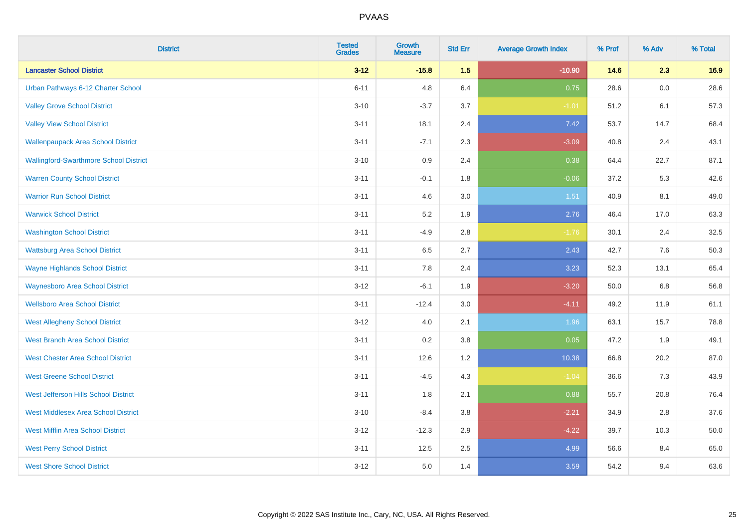| <b>District</b>                               | <b>Tested</b><br><b>Grades</b> | <b>Growth</b><br><b>Measure</b> | <b>Std Err</b> | <b>Average Growth Index</b> | % Prof | % Adv   | % Total |
|-----------------------------------------------|--------------------------------|---------------------------------|----------------|-----------------------------|--------|---------|---------|
| <b>Lancaster School District</b>              | $3 - 12$                       | $-15.8$                         | 1.5            | $-10.90$                    | 14.6   | 2.3     | 16.9    |
| Urban Pathways 6-12 Charter School            | $6 - 11$                       | 4.8                             | 6.4            | 0.75                        | 28.6   | $0.0\,$ | 28.6    |
| <b>Valley Grove School District</b>           | $3 - 10$                       | $-3.7$                          | 3.7            | $-1.01$                     | 51.2   | 6.1     | 57.3    |
| <b>Valley View School District</b>            | $3 - 11$                       | 18.1                            | 2.4            | 7.42                        | 53.7   | 14.7    | 68.4    |
| <b>Wallenpaupack Area School District</b>     | $3 - 11$                       | $-7.1$                          | 2.3            | $-3.09$                     | 40.8   | 2.4     | 43.1    |
| <b>Wallingford-Swarthmore School District</b> | $3 - 10$                       | 0.9                             | 2.4            | 0.38                        | 64.4   | 22.7    | 87.1    |
| <b>Warren County School District</b>          | $3 - 11$                       | $-0.1$                          | 1.8            | $-0.06$                     | 37.2   | 5.3     | 42.6    |
| <b>Warrior Run School District</b>            | $3 - 11$                       | 4.6                             | 3.0            | 1.51                        | 40.9   | 8.1     | 49.0    |
| <b>Warwick School District</b>                | $3 - 11$                       | 5.2                             | 1.9            | 2.76                        | 46.4   | 17.0    | 63.3    |
| <b>Washington School District</b>             | $3 - 11$                       | $-4.9$                          | 2.8            | $-1.76$                     | 30.1   | 2.4     | 32.5    |
| <b>Wattsburg Area School District</b>         | $3 - 11$                       | 6.5                             | 2.7            | 2.43                        | 42.7   | 7.6     | 50.3    |
| <b>Wayne Highlands School District</b>        | $3 - 11$                       | 7.8                             | 2.4            | 3.23                        | 52.3   | 13.1    | 65.4    |
| <b>Waynesboro Area School District</b>        | $3 - 12$                       | $-6.1$                          | 1.9            | $-3.20$                     | 50.0   | 6.8     | 56.8    |
| <b>Wellsboro Area School District</b>         | $3 - 11$                       | $-12.4$                         | 3.0            | $-4.11$                     | 49.2   | 11.9    | 61.1    |
| <b>West Allegheny School District</b>         | $3 - 12$                       | 4.0                             | 2.1            | 1.96                        | 63.1   | 15.7    | 78.8    |
| <b>West Branch Area School District</b>       | $3 - 11$                       | 0.2                             | 3.8            | 0.05                        | 47.2   | 1.9     | 49.1    |
| <b>West Chester Area School District</b>      | $3 - 11$                       | 12.6                            | 1.2            | 10.38                       | 66.8   | 20.2    | 87.0    |
| <b>West Greene School District</b>            | $3 - 11$                       | $-4.5$                          | 4.3            | $-1.04$                     | 36.6   | 7.3     | 43.9    |
| West Jefferson Hills School District          | $3 - 11$                       | 1.8                             | 2.1            | 0.88                        | 55.7   | 20.8    | 76.4    |
| <b>West Middlesex Area School District</b>    | $3 - 10$                       | $-8.4$                          | $3.8\,$        | $-2.21$                     | 34.9   | 2.8     | 37.6    |
| <b>West Mifflin Area School District</b>      | $3 - 12$                       | $-12.3$                         | 2.9            | $-4.22$                     | 39.7   | 10.3    | 50.0    |
| <b>West Perry School District</b>             | $3 - 11$                       | 12.5                            | 2.5            | 4.99                        | 56.6   | 8.4     | 65.0    |
| <b>West Shore School District</b>             | $3 - 12$                       | 5.0                             | 1.4            | 3.59                        | 54.2   | 9.4     | 63.6    |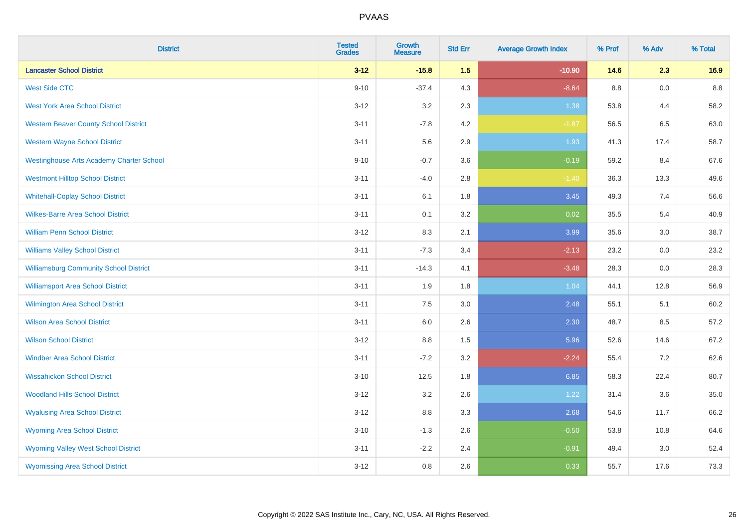| <b>District</b>                                 | <b>Tested</b><br><b>Grades</b> | <b>Growth</b><br><b>Measure</b> | <b>Std Err</b> | <b>Average Growth Index</b> | % Prof | % Adv | % Total |
|-------------------------------------------------|--------------------------------|---------------------------------|----------------|-----------------------------|--------|-------|---------|
| <b>Lancaster School District</b>                | $3 - 12$                       | $-15.8$                         | 1.5            | $-10.90$                    | 14.6   | 2.3   | 16.9    |
| <b>West Side CTC</b>                            | $9 - 10$                       | $-37.4$                         | 4.3            | $-8.64$                     | 8.8    | 0.0   | 8.8     |
| <b>West York Area School District</b>           | $3 - 12$                       | 3.2                             | 2.3            | 1.38                        | 53.8   | 4.4   | 58.2    |
| <b>Western Beaver County School District</b>    | $3 - 11$                       | $-7.8$                          | 4.2            | $-1.87$                     | 56.5   | 6.5   | 63.0    |
| <b>Western Wayne School District</b>            | $3 - 11$                       | 5.6                             | 2.9            | 1.93                        | 41.3   | 17.4  | 58.7    |
| <b>Westinghouse Arts Academy Charter School</b> | $9 - 10$                       | $-0.7$                          | 3.6            | $-0.19$                     | 59.2   | 8.4   | 67.6    |
| <b>Westmont Hilltop School District</b>         | $3 - 11$                       | $-4.0$                          | 2.8            | $-1.40$                     | 36.3   | 13.3  | 49.6    |
| <b>Whitehall-Coplay School District</b>         | $3 - 11$                       | 6.1                             | 1.8            | 3.45                        | 49.3   | 7.4   | 56.6    |
| <b>Wilkes-Barre Area School District</b>        | $3 - 11$                       | 0.1                             | 3.2            | 0.02                        | 35.5   | 5.4   | 40.9    |
| <b>William Penn School District</b>             | $3-12$                         | 8.3                             | 2.1            | 3.99                        | 35.6   | 3.0   | 38.7    |
| <b>Williams Valley School District</b>          | $3 - 11$                       | $-7.3$                          | 3.4            | $-2.13$                     | 23.2   | 0.0   | 23.2    |
| <b>Williamsburg Community School District</b>   | $3 - 11$                       | $-14.3$                         | 4.1            | $-3.48$                     | 28.3   | 0.0   | 28.3    |
| <b>Williamsport Area School District</b>        | $3 - 11$                       | 1.9                             | 1.8            | 1.04                        | 44.1   | 12.8  | 56.9    |
| Wilmington Area School District                 | $3 - 11$                       | $7.5\,$                         | 3.0            | 2.48                        | 55.1   | 5.1   | 60.2    |
| <b>Wilson Area School District</b>              | $3 - 11$                       | 6.0                             | 2.6            | 2.30                        | 48.7   | 8.5   | 57.2    |
| <b>Wilson School District</b>                   | $3 - 12$                       | $8.8\,$                         | 1.5            | 5.96                        | 52.6   | 14.6  | 67.2    |
| <b>Windber Area School District</b>             | $3 - 11$                       | $-7.2$                          | 3.2            | $-2.24$                     | 55.4   | 7.2   | 62.6    |
| <b>Wissahickon School District</b>              | $3 - 10$                       | 12.5                            | 1.8            | 6.85                        | 58.3   | 22.4  | 80.7    |
| <b>Woodland Hills School District</b>           | $3 - 12$                       | 3.2                             | 2.6            | 1.22                        | 31.4   | 3.6   | 35.0    |
| <b>Wyalusing Area School District</b>           | $3 - 12$                       | 8.8                             | 3.3            | 2.68                        | 54.6   | 11.7  | 66.2    |
| <b>Wyoming Area School District</b>             | $3 - 10$                       | $-1.3$                          | 2.6            | $-0.50$                     | 53.8   | 10.8  | 64.6    |
| <b>Wyoming Valley West School District</b>      | $3 - 11$                       | $-2.2$                          | 2.4            | $-0.91$                     | 49.4   | 3.0   | 52.4    |
| <b>Wyomissing Area School District</b>          | $3-12$                         | 0.8                             | 2.6            | 0.33                        | 55.7   | 17.6  | 73.3    |